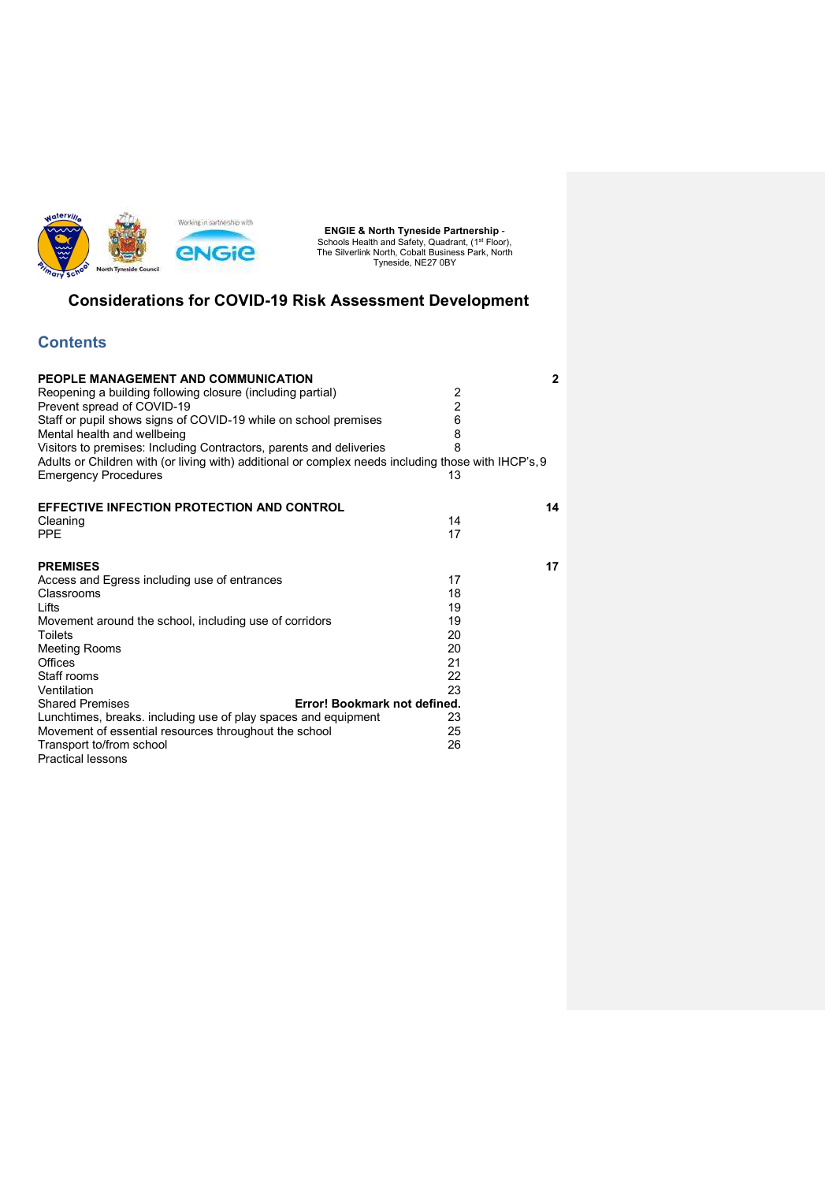

## Considerations for COVID-19 Risk Assessment Development

## **Contents**

| PEOPLE MANAGEMENT AND COMMUNICATION                                                                 |                | $\mathbf{2}$ |
|-----------------------------------------------------------------------------------------------------|----------------|--------------|
| Reopening a building following closure (including partial)                                          | 2              |              |
| Prevent spread of COVID-19                                                                          | $\overline{2}$ |              |
| Staff or pupil shows signs of COVID-19 while on school premises                                     | 6              |              |
| Mental health and wellbeing                                                                         |                |              |
| Visitors to premises: Including Contractors, parents and deliveries                                 | 8              |              |
| Adults or Children with (or living with) additional or complex needs including those with IHCP's, 9 |                |              |
| <b>Emergency Procedures</b>                                                                         | 13             |              |
| <b>EFFECTIVE INFECTION PROTECTION AND CONTROL</b>                                                   |                | 14           |
| Cleaning                                                                                            | 14             |              |
| <b>PPE</b>                                                                                          | 17             |              |
| <b>PREMISES</b>                                                                                     |                | 17           |
| Access and Egress including use of entrances                                                        | 17             |              |
| Classrooms                                                                                          | 18             |              |
| Lifts                                                                                               | 19             |              |
| Movement around the school, including use of corridors                                              | 19             |              |
| Toilets                                                                                             | 20             |              |
| Meeting Rooms                                                                                       | 20             |              |
| <b>Offices</b>                                                                                      | 21             |              |
| Staff rooms                                                                                         | 22             |              |
| Ventilation                                                                                         | 23             |              |
| <b>Shared Premises</b><br>Error! Bookmark not defined.                                              |                |              |
| Lunchtimes, breaks. including use of play spaces and equipment                                      | 23             |              |
| Movement of essential resources throughout the school                                               | 25             |              |
| Transport to/from school                                                                            | 26             |              |
| <b>Practical lessons</b>                                                                            |                |              |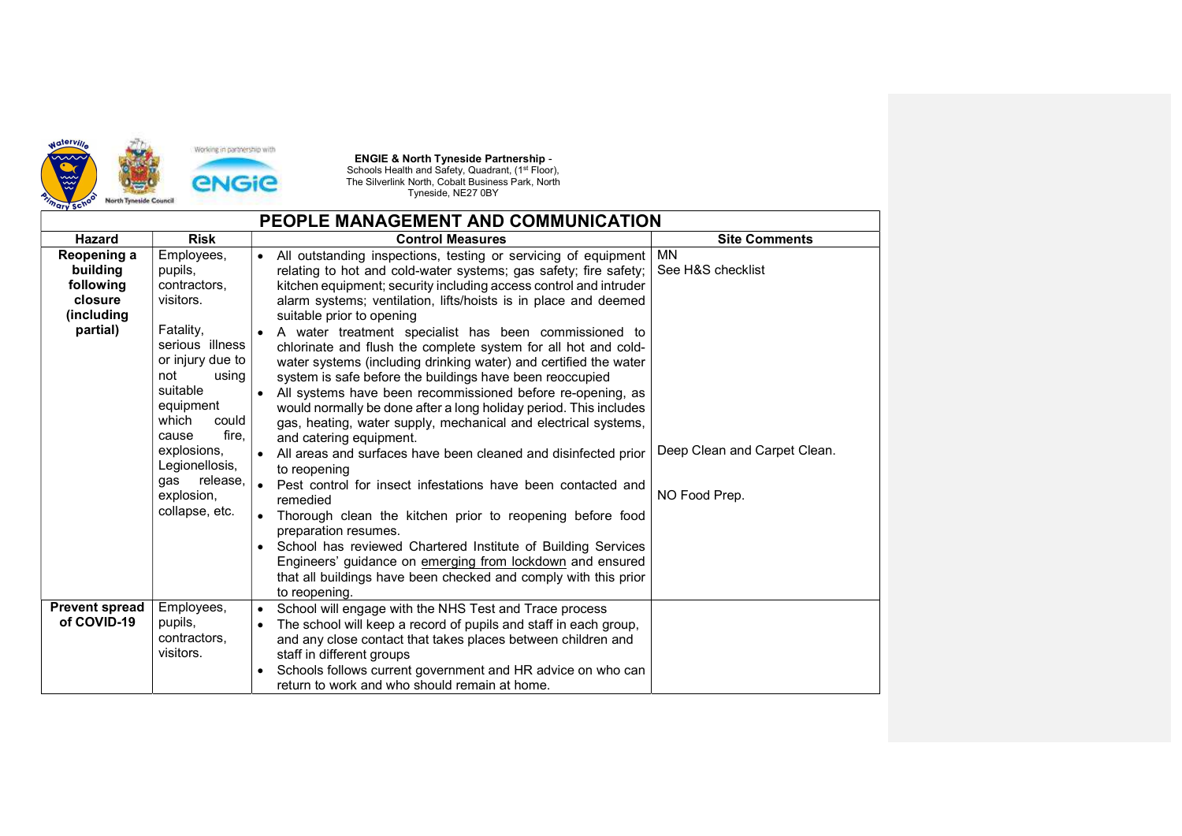

| PEOPLE MANAGEMENT AND COMMUNICATION                                       |                                                                                                                                                                                                                                                                         |                                                                                                                                                                                                                                                                                                                                                                                                                                                                                                                                                                                                                                                                                                                                                                                                                                                                                                                                                                                                                                                                                                                                                                                                                                                                                                    |                                                                                 |  |
|---------------------------------------------------------------------------|-------------------------------------------------------------------------------------------------------------------------------------------------------------------------------------------------------------------------------------------------------------------------|----------------------------------------------------------------------------------------------------------------------------------------------------------------------------------------------------------------------------------------------------------------------------------------------------------------------------------------------------------------------------------------------------------------------------------------------------------------------------------------------------------------------------------------------------------------------------------------------------------------------------------------------------------------------------------------------------------------------------------------------------------------------------------------------------------------------------------------------------------------------------------------------------------------------------------------------------------------------------------------------------------------------------------------------------------------------------------------------------------------------------------------------------------------------------------------------------------------------------------------------------------------------------------------------------|---------------------------------------------------------------------------------|--|
| <b>Hazard</b>                                                             | <b>Risk</b>                                                                                                                                                                                                                                                             | <b>Control Measures</b>                                                                                                                                                                                                                                                                                                                                                                                                                                                                                                                                                                                                                                                                                                                                                                                                                                                                                                                                                                                                                                                                                                                                                                                                                                                                            | <b>Site Comments</b>                                                            |  |
| Reopening a<br>building<br>following<br>closure<br>(including<br>partial) | Employees,<br>pupils,<br>contractors,<br>visitors.<br>Fatality,<br>serious illness<br>or injury due to<br>not<br>using<br>suitable<br>equipment<br>which<br>could<br>fire,<br>cause<br>explosions,<br>Legionellosis,<br>release,<br>gas<br>explosion,<br>collapse, etc. | • All outstanding inspections, testing or servicing of equipment<br>relating to hot and cold-water systems; gas safety; fire safety;<br>kitchen equipment; security including access control and intruder<br>alarm systems; ventilation, lifts/hoists is in place and deemed<br>suitable prior to opening<br>A water treatment specialist has been commissioned to<br>chlorinate and flush the complete system for all hot and cold-<br>water systems (including drinking water) and certified the water<br>system is safe before the buildings have been reoccupied<br>All systems have been recommissioned before re-opening, as<br>would normally be done after a long holiday period. This includes<br>gas, heating, water supply, mechanical and electrical systems,<br>and catering equipment.<br>All areas and surfaces have been cleaned and disinfected prior<br>to reopening<br>Pest control for insect infestations have been contacted and<br>$\bullet$<br>remedied<br>Thorough clean the kitchen prior to reopening before food<br>$\bullet$<br>preparation resumes.<br>School has reviewed Chartered Institute of Building Services<br>Engineers' guidance on emerging from lockdown and ensured<br>that all buildings have been checked and comply with this prior<br>to reopening. | <b>MN</b><br>See H&S checklist<br>Deep Clean and Carpet Clean.<br>NO Food Prep. |  |
| <b>Prevent spread</b><br>of COVID-19                                      | Employees,<br>pupils,<br>contractors,<br>visitors.                                                                                                                                                                                                                      | School will engage with the NHS Test and Trace process<br>$\bullet$<br>The school will keep a record of pupils and staff in each group,<br>and any close contact that takes places between children and<br>staff in different groups<br>Schools follows current government and HR advice on who can<br>return to work and who should remain at home.                                                                                                                                                                                                                                                                                                                                                                                                                                                                                                                                                                                                                                                                                                                                                                                                                                                                                                                                               |                                                                                 |  |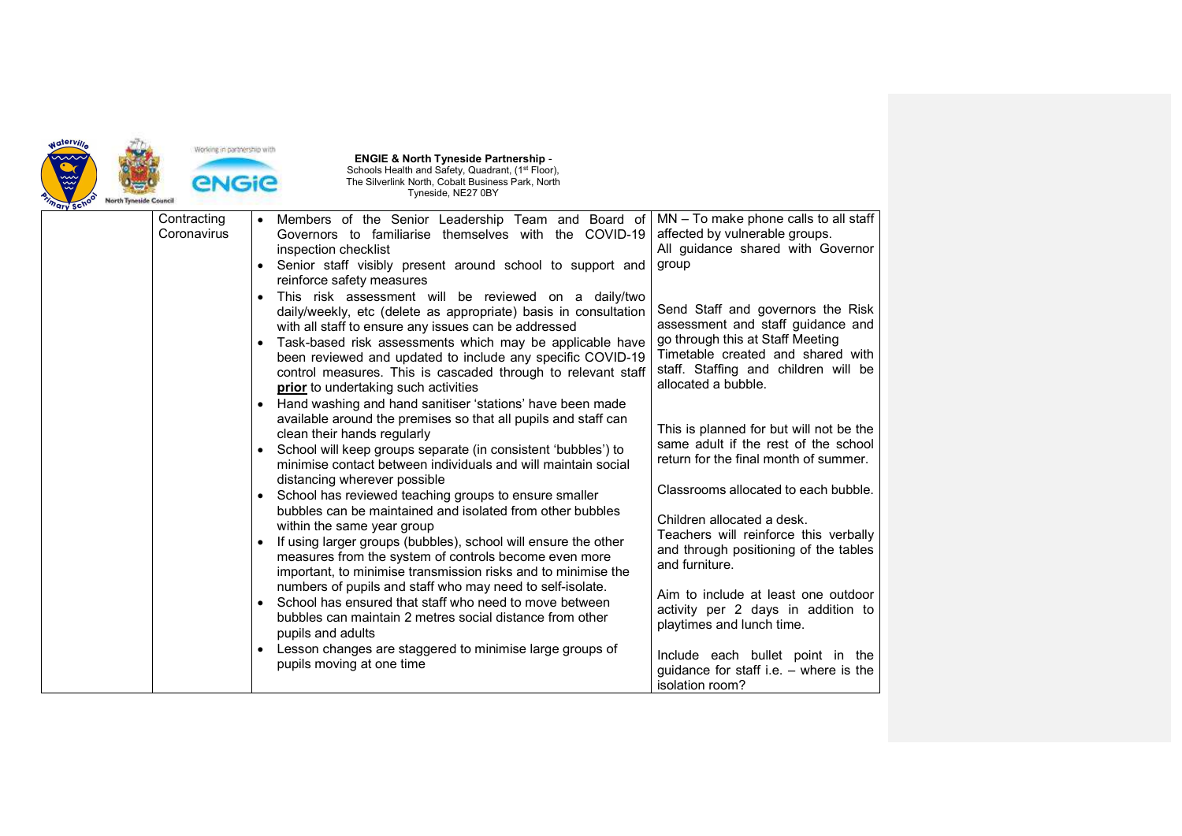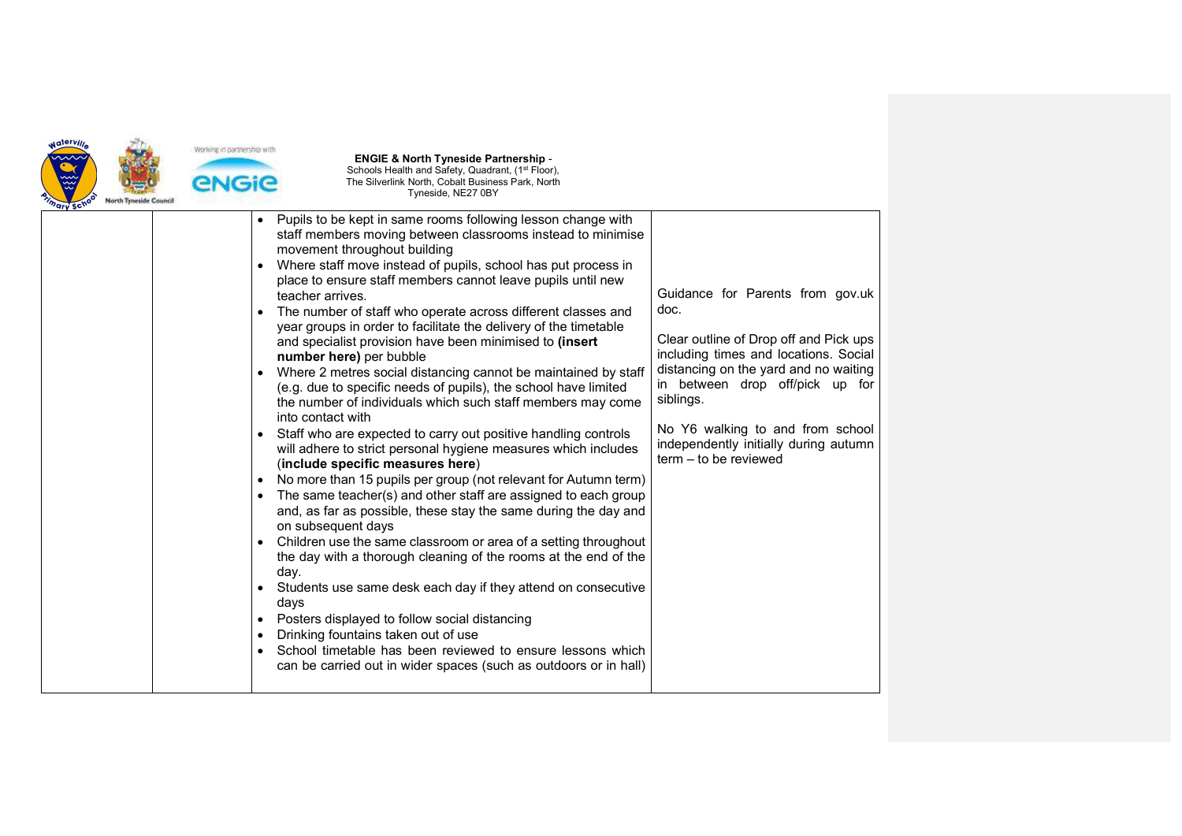

| $v_{\rm}$ $\sim$ |                                                                                                                                                                                                                                                                                                                                                                                 |                                                                                                                                                                          |
|------------------|---------------------------------------------------------------------------------------------------------------------------------------------------------------------------------------------------------------------------------------------------------------------------------------------------------------------------------------------------------------------------------|--------------------------------------------------------------------------------------------------------------------------------------------------------------------------|
|                  | Pupils to be kept in same rooms following lesson change with<br>staff members moving between classrooms instead to minimise<br>movement throughout building<br>Where staff move instead of pupils, school has put process in<br>place to ensure staff members cannot leave pupils until new<br>teacher arrives.<br>The number of staff who operate across different classes and | Guidance for Parents from gov.uk<br>doc.                                                                                                                                 |
|                  | year groups in order to facilitate the delivery of the timetable<br>and specialist provision have been minimised to (insert<br>number here) per bubble<br>Where 2 metres social distancing cannot be maintained by staff<br>(e.g. due to specific needs of pupils), the school have limited<br>the number of individuals which such staff members may come                      | Clear outline of Drop off and Pick ups<br>including times and locations. Social<br>distancing on the yard and no waiting<br>in between drop off/pick up for<br>siblings. |
|                  | into contact with<br>• Staff who are expected to carry out positive handling controls<br>will adhere to strict personal hygiene measures which includes<br>(include specific measures here)<br>• No more than 15 pupils per group (not relevant for Autumn term)                                                                                                                | No Y6 walking to and from school<br>independently initially during autumn<br>term - to be reviewed                                                                       |
|                  | The same teacher(s) and other staff are assigned to each group<br>and, as far as possible, these stay the same during the day and<br>on subsequent days<br>Children use the same classroom or area of a setting throughout                                                                                                                                                      |                                                                                                                                                                          |
|                  | the day with a thorough cleaning of the rooms at the end of the<br>day.<br>• Students use same desk each day if they attend on consecutive<br>days<br>• Posters displayed to follow social distancing                                                                                                                                                                           |                                                                                                                                                                          |
|                  | Drinking fountains taken out of use<br>School timetable has been reviewed to ensure lessons which<br>can be carried out in wider spaces (such as outdoors or in hall)                                                                                                                                                                                                           |                                                                                                                                                                          |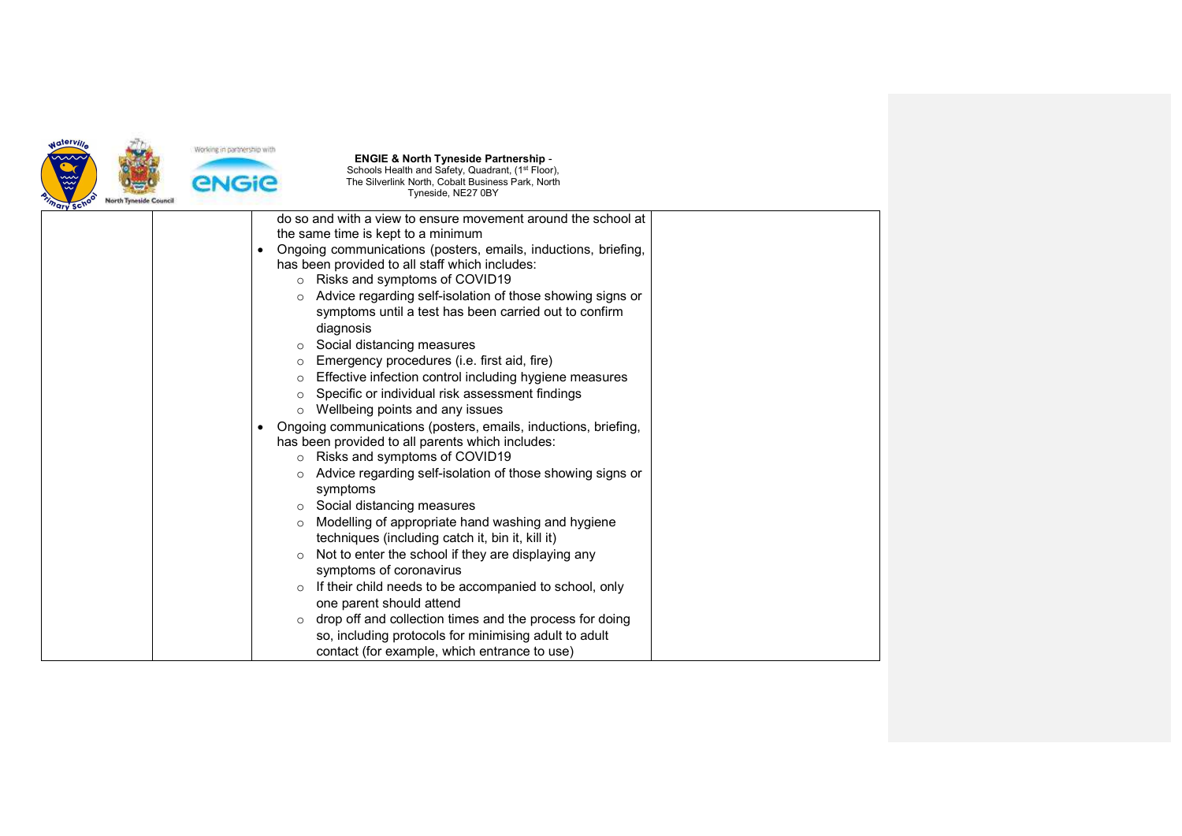

| do so and with a view to ensure movement around the school at        |
|----------------------------------------------------------------------|
| the same time is kept to a minimum                                   |
| Ongoing communications (posters, emails, inductions, briefing,       |
| has been provided to all staff which includes:                       |
| ○ Risks and symptoms of COVID19                                      |
| Advice regarding self-isolation of those showing signs or<br>$\circ$ |
| symptoms until a test has been carried out to confirm                |
| diagnosis                                                            |
| Social distancing measures<br>$\circ$                                |
| Emergency procedures (i.e. first aid, fire)<br>$\Omega$              |
| Effective infection control including hygiene measures<br>$\circ$    |
| Specific or individual risk assessment findings<br>$\circ$           |
| Wellbeing points and any issues<br>$\circ$                           |
| Ongoing communications (posters, emails, inductions, briefing,       |
| has been provided to all parents which includes:                     |
| Risks and symptoms of COVID19<br>$\circ$                             |
| Advice regarding self-isolation of those showing signs or<br>$\circ$ |
| symptoms                                                             |
| Social distancing measures<br>$\circ$                                |
| Modelling of appropriate hand washing and hygiene<br>$\circ$         |
| techniques (including catch it, bin it, kill it)                     |
| Not to enter the school if they are displaying any<br>$\circ$        |
| symptoms of coronavirus                                              |
| If their child needs to be accompanied to school, only               |
| one parent should attend                                             |
| drop off and collection times and the process for doing              |
| so, including protocols for minimising adult to adult                |
| contact (for example, which entrance to use)                         |
|                                                                      |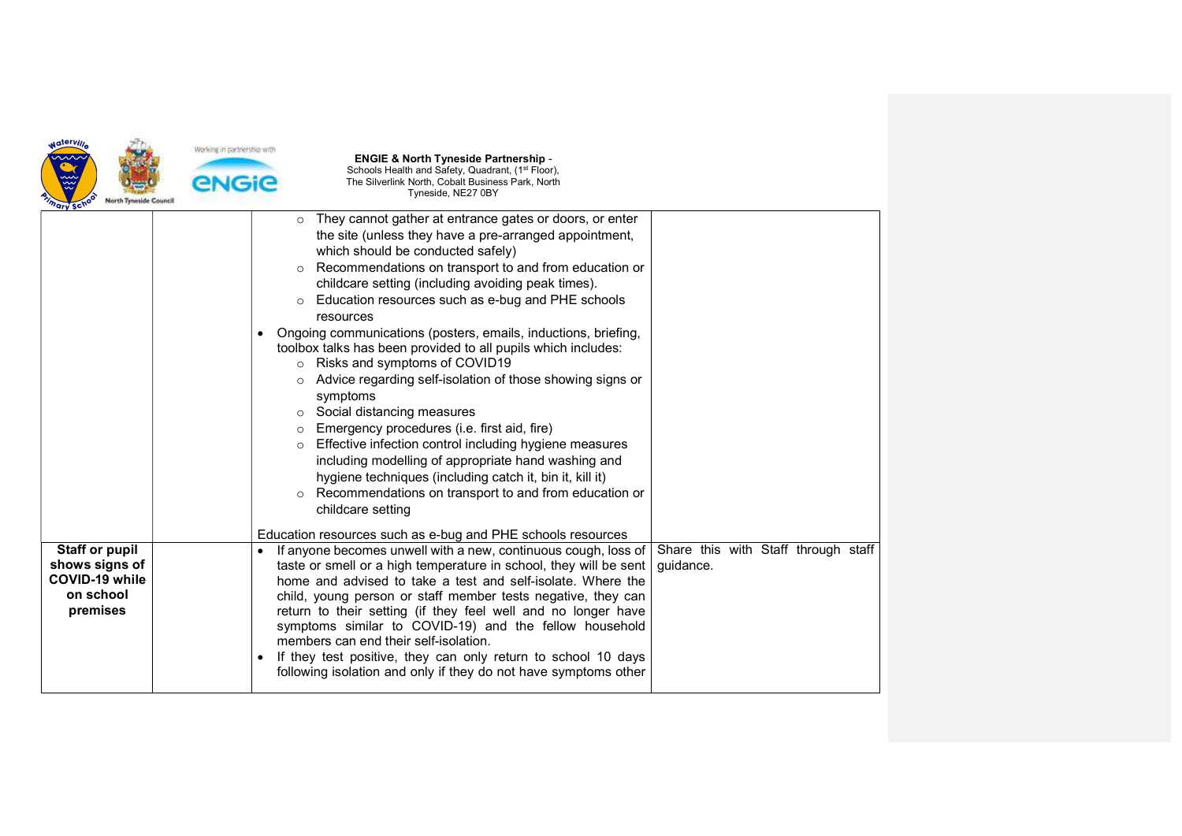

| $\circ$<br>the site (unless they have a pre-arranged appointment,<br>which should be conducted safely)<br>Recommendations on transport to and from education or<br>$\circ$<br>childcare setting (including avoiding peak times).<br>Education resources such as e-bug and PHE schools<br>$\circ$<br>resources<br>Ongoing communications (posters, emails, inductions, briefing,<br>$\bullet$<br>toolbox talks has been provided to all pupils which includes:<br>Risks and symptoms of COVID19<br>$\circ$<br>Advice regarding self-isolation of those showing signs or<br>$\circ$<br>symptoms<br>Social distancing measures<br>$\circ$<br>Emergency procedures (i.e. first aid, fire)<br>Effective infection control including hygiene measures<br>$\circ$<br>including modelling of appropriate hand washing and<br>hygiene techniques (including catch it, bin it, kill it)<br>Recommendations on transport to and from education or<br>$\circ$<br>childcare setting |                                                         |
|------------------------------------------------------------------------------------------------------------------------------------------------------------------------------------------------------------------------------------------------------------------------------------------------------------------------------------------------------------------------------------------------------------------------------------------------------------------------------------------------------------------------------------------------------------------------------------------------------------------------------------------------------------------------------------------------------------------------------------------------------------------------------------------------------------------------------------------------------------------------------------------------------------------------------------------------------------------------|---------------------------------------------------------|
| Education resources such as e-bug and PHE schools resources                                                                                                                                                                                                                                                                                                                                                                                                                                                                                                                                                                                                                                                                                                                                                                                                                                                                                                            |                                                         |
| If anyone becomes unwell with a new, continuous cough, loss of<br>$\bullet$<br>taste or smell or a high temperature in school, they will be sent<br>home and advised to take a test and self-isolate. Where the<br>child, young person or staff member tests negative, they can<br>return to their setting (if they feel well and no longer have<br>symptoms similar to COVID-19) and the fellow household<br>members can end their self-isolation.<br>If they test positive, they can only return to school 10 days<br>following isolation and only if they do not have symptoms other                                                                                                                                                                                                                                                                                                                                                                                | Share this with Staff through staff<br>quidance.        |
|                                                                                                                                                                                                                                                                                                                                                                                                                                                                                                                                                                                                                                                                                                                                                                                                                                                                                                                                                                        | They cannot gather at entrance gates or doors, or enter |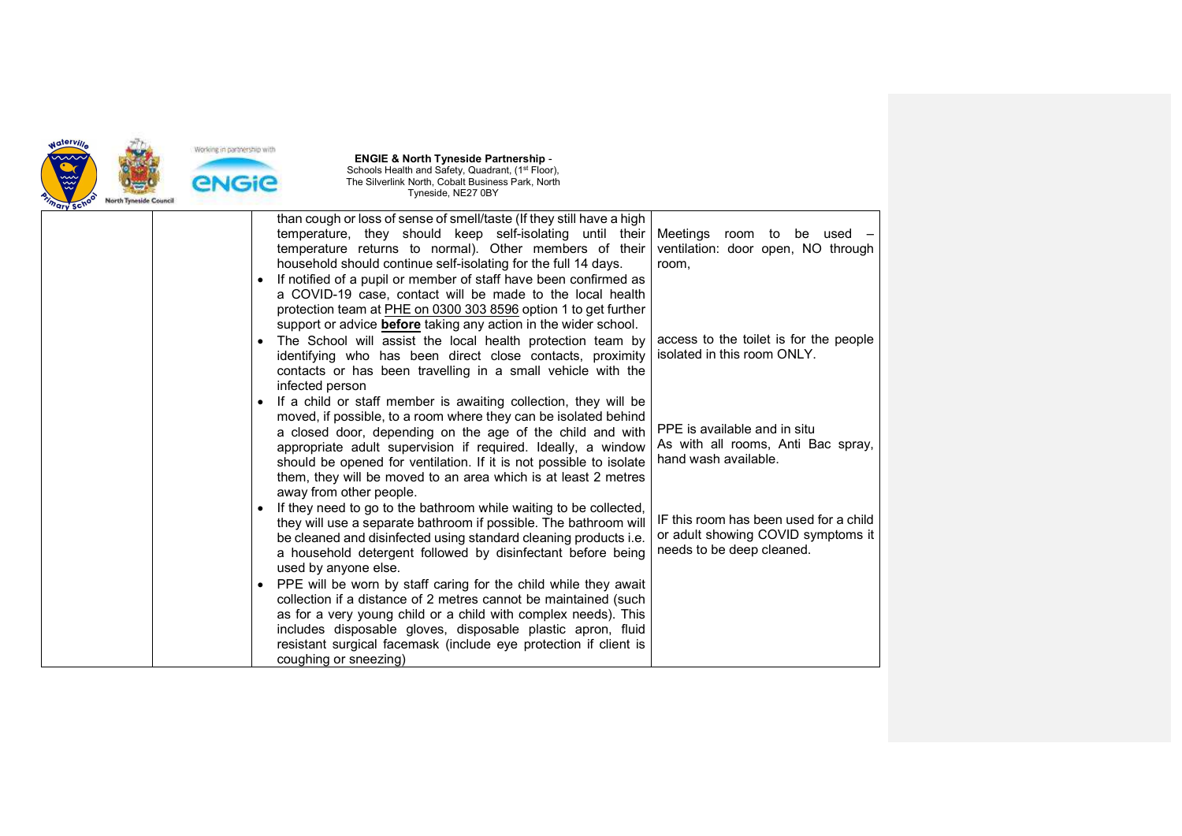

|  | than cough or loss of sense of smell/taste (If they still have a high                                                                |                                        |
|--|--------------------------------------------------------------------------------------------------------------------------------------|----------------------------------------|
|  | temperature, they should keep self-isolating until their                                                                             | Meetings<br>room<br>to<br>be used –    |
|  | temperature returns to normal). Other members of their                                                                               | ventilation: door open, NO through     |
|  | household should continue self-isolating for the full 14 days.                                                                       | room,                                  |
|  | If notified of a pupil or member of staff have been confirmed as                                                                     |                                        |
|  | a COVID-19 case, contact will be made to the local health                                                                            |                                        |
|  | protection team at PHE on 0300 303 8596 option 1 to get further                                                                      |                                        |
|  | support or advice <b>before</b> taking any action in the wider school.                                                               |                                        |
|  | The School will assist the local health protection team by                                                                           | access to the toilet is for the people |
|  | identifying who has been direct close contacts, proximity                                                                            | isolated in this room ONLY.            |
|  | contacts or has been travelling in a small vehicle with the                                                                          |                                        |
|  | infected person                                                                                                                      |                                        |
|  | If a child or staff member is awaiting collection, they will be                                                                      |                                        |
|  | moved, if possible, to a room where they can be isolated behind                                                                      | PPE is available and in situ           |
|  | a closed door, depending on the age of the child and with                                                                            | As with all rooms, Anti Bac spray,     |
|  | appropriate adult supervision if required. Ideally, a window                                                                         | hand wash available.                   |
|  | should be opened for ventilation. If it is not possible to isolate<br>them, they will be moved to an area which is at least 2 metres |                                        |
|  | away from other people.                                                                                                              |                                        |
|  | If they need to go to the bathroom while waiting to be collected,                                                                    |                                        |
|  | they will use a separate bathroom if possible. The bathroom will                                                                     | IF this room has been used for a child |
|  | be cleaned and disinfected using standard cleaning products i.e.                                                                     | or adult showing COVID symptoms it     |
|  | a household detergent followed by disinfectant before being                                                                          | needs to be deep cleaned.              |
|  | used by anyone else.                                                                                                                 |                                        |
|  | PPE will be worn by staff caring for the child while they await                                                                      |                                        |
|  | collection if a distance of 2 metres cannot be maintained (such                                                                      |                                        |
|  | as for a very young child or a child with complex needs). This                                                                       |                                        |
|  | includes disposable gloves, disposable plastic apron, fluid                                                                          |                                        |
|  | resistant surgical facemask (include eye protection if client is                                                                     |                                        |
|  | coughing or sneezing)                                                                                                                |                                        |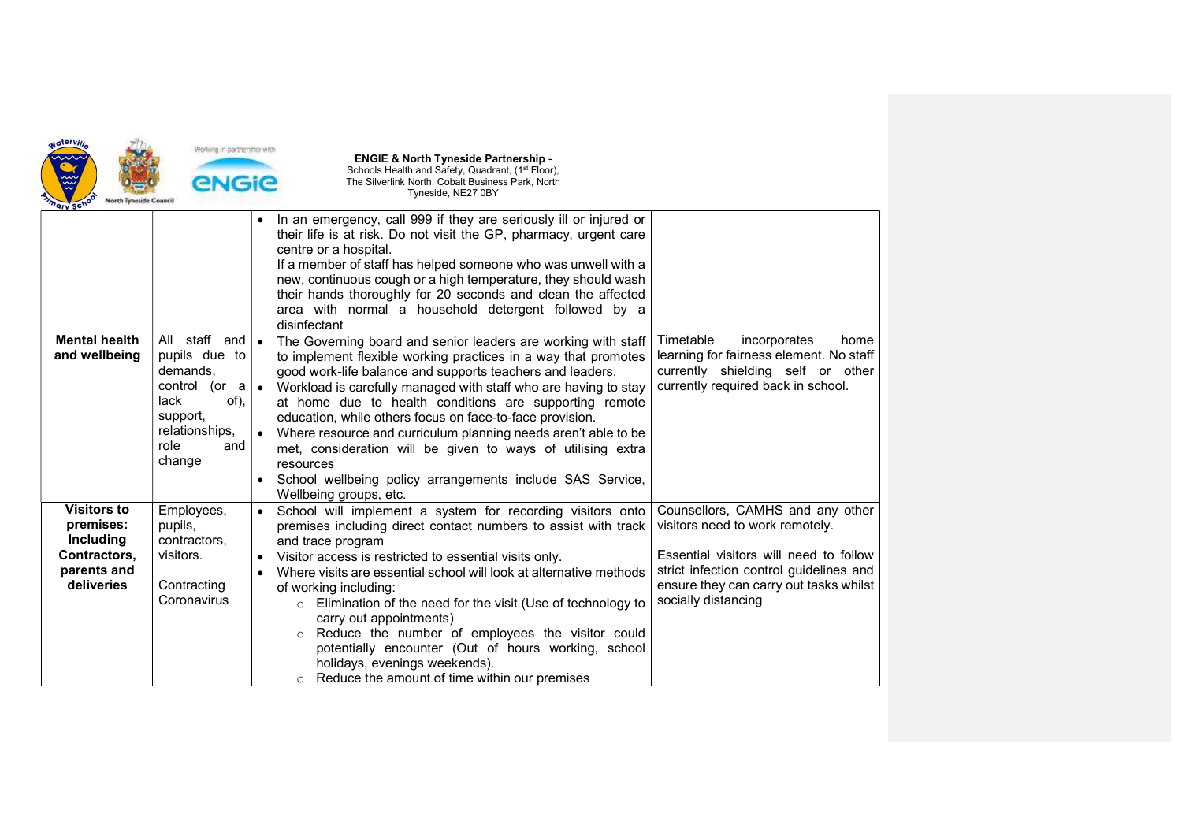

| "ary Sc"                                                                                         |                                                                                                                                                                         |                                                                                                                                                                                                                                                                                                                                                                                                                                                                                                                                                                                                                            |                                                                                                                                                                                                                           |
|--------------------------------------------------------------------------------------------------|-------------------------------------------------------------------------------------------------------------------------------------------------------------------------|----------------------------------------------------------------------------------------------------------------------------------------------------------------------------------------------------------------------------------------------------------------------------------------------------------------------------------------------------------------------------------------------------------------------------------------------------------------------------------------------------------------------------------------------------------------------------------------------------------------------------|---------------------------------------------------------------------------------------------------------------------------------------------------------------------------------------------------------------------------|
|                                                                                                  |                                                                                                                                                                         | In an emergency, call 999 if they are seriously ill or injured or<br>their life is at risk. Do not visit the GP, pharmacy, urgent care<br>centre or a hospital.<br>If a member of staff has helped someone who was unwell with a<br>new, continuous cough or a high temperature, they should wash<br>their hands thoroughly for 20 seconds and clean the affected<br>area with normal a household detergent followed by a<br>disinfectant                                                                                                                                                                                  |                                                                                                                                                                                                                           |
| <b>Mental health</b><br>and wellbeing                                                            | All staff<br>and $\vert \bullet \vert$<br>pupils due to<br>demands.<br>control<br>(or $a \mid a$<br>lack<br>of),<br>support,<br>relationships,<br>role<br>and<br>change | The Governing board and senior leaders are working with staff<br>to implement flexible working practices in a way that promotes<br>good work-life balance and supports teachers and leaders.<br>Workload is carefully managed with staff who are having to stay<br>at home due to health conditions are supporting remote<br>education, while others focus on face-to-face provision.<br>Where resource and curriculum planning needs aren't able to be<br>met, consideration will be given to ways of utilising extra<br>resources<br>School wellbeing policy arrangements include SAS Service,<br>Wellbeing groups, etc. | Timetable<br>incorporates<br>home<br>learning for fairness element. No staff<br>currently shielding self or other<br>currently required back in school.                                                                   |
| <b>Visitors to</b><br>premises:<br><b>Including</b><br>Contractors,<br>parents and<br>deliveries | Employees,<br>pupils,<br>contractors,<br>visitors.<br>Contracting<br>Coronavirus                                                                                        | School will implement a system for recording visitors onto<br>premises including direct contact numbers to assist with track<br>and trace program<br>Visitor access is restricted to essential visits only.<br>Where visits are essential school will look at alternative methods<br>of working including:<br>Elimination of the need for the visit (Use of technology to<br>$\circ$<br>carry out appointments)<br>Reduce the number of employees the visitor could<br>$\circ$<br>potentially encounter (Out of hours working, school<br>holidays, evenings weekends).<br>Reduce the amount of time within our premises    | Counsellors, CAMHS and any other<br>visitors need to work remotely.<br>Essential visitors will need to follow<br>strict infection control guidelines and<br>ensure they can carry out tasks whilst<br>socially distancing |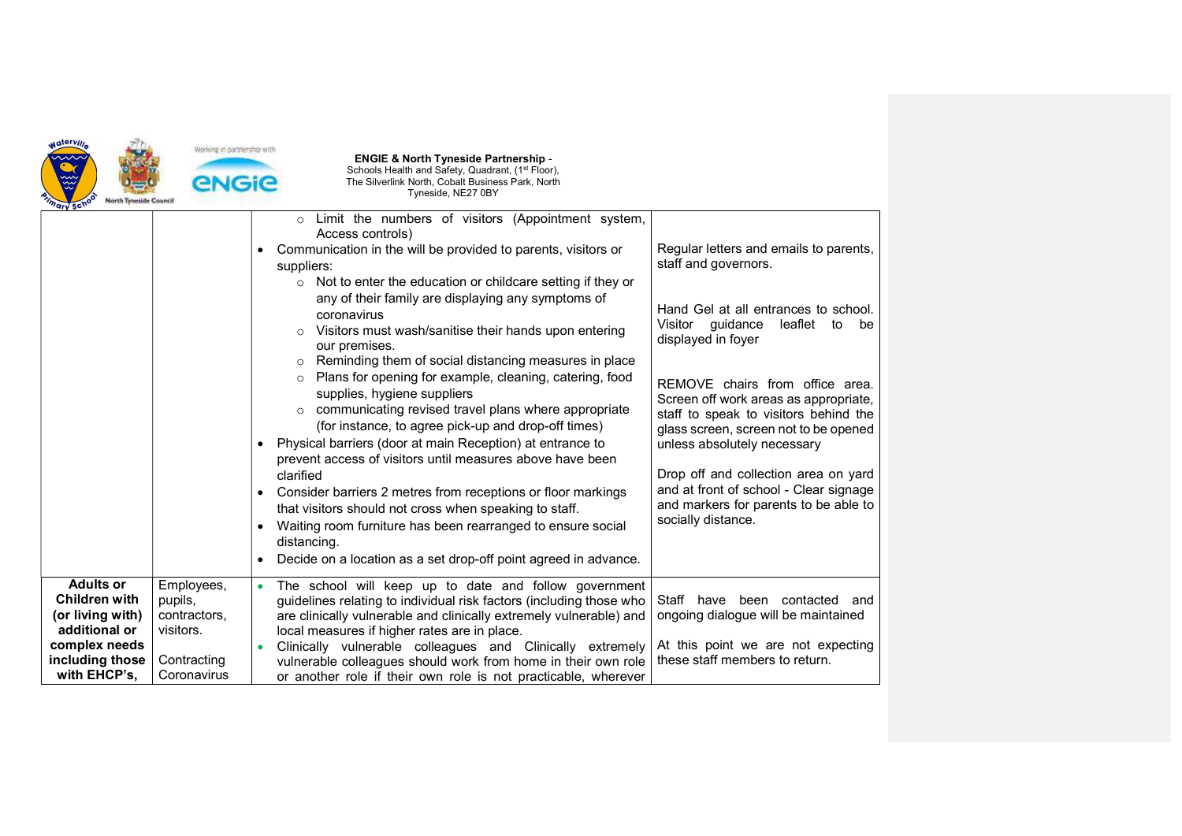

|                                                                                                                                   |                                                                                  | Limit the numbers of visitors (Appointment system,<br>$\circ$<br>Access controls)<br>Communication in the will be provided to parents, visitors or<br>suppliers:<br>$\circ$ Not to enter the education or childcare setting if they or<br>any of their family are displaying any symptoms of<br>coronavirus<br>Visitors must wash/sanitise their hands upon entering<br>$\circ$<br>our premises.<br>Reminding them of social distancing measures in place<br>$\circ$<br>Plans for opening for example, cleaning, catering, food<br>$\circ$<br>supplies, hygiene suppliers<br>communicating revised travel plans where appropriate<br>$\circ$<br>(for instance, to agree pick-up and drop-off times)<br>Physical barriers (door at main Reception) at entrance to<br>prevent access of visitors until measures above have been<br>clarified<br>Consider barriers 2 metres from receptions or floor markings<br>that visitors should not cross when speaking to staff.<br>Waiting room furniture has been rearranged to ensure social<br>$\bullet$ | Regular letters and emails to parents,<br>staff and governors.<br>Hand Gel at all entrances to school.<br>Visitor<br>quidance<br>leaflet<br>to<br>be<br>displayed in foyer<br>REMOVE chairs from office area.<br>Screen off work areas as appropriate,<br>staff to speak to visitors behind the<br>glass screen, screen not to be opened<br>unless absolutely necessary<br>Drop off and collection area on yard<br>and at front of school - Clear signage<br>and markers for parents to be able to<br>socially distance. |
|-----------------------------------------------------------------------------------------------------------------------------------|----------------------------------------------------------------------------------|--------------------------------------------------------------------------------------------------------------------------------------------------------------------------------------------------------------------------------------------------------------------------------------------------------------------------------------------------------------------------------------------------------------------------------------------------------------------------------------------------------------------------------------------------------------------------------------------------------------------------------------------------------------------------------------------------------------------------------------------------------------------------------------------------------------------------------------------------------------------------------------------------------------------------------------------------------------------------------------------------------------------------------------------------|--------------------------------------------------------------------------------------------------------------------------------------------------------------------------------------------------------------------------------------------------------------------------------------------------------------------------------------------------------------------------------------------------------------------------------------------------------------------------------------------------------------------------|
|                                                                                                                                   |                                                                                  | distancing.<br>Decide on a location as a set drop-off point agreed in advance.                                                                                                                                                                                                                                                                                                                                                                                                                                                                                                                                                                                                                                                                                                                                                                                                                                                                                                                                                                   |                                                                                                                                                                                                                                                                                                                                                                                                                                                                                                                          |
| <b>Adults or</b><br><b>Children with</b><br>(or living with)<br>additional or<br>complex needs<br>including those<br>with EHCP's, | Employees,<br>pupils,<br>contractors,<br>visitors.<br>Contracting<br>Coronavirus | The school will keep up to date and follow government<br>$\bullet$<br>guidelines relating to individual risk factors (including those who<br>are clinically vulnerable and clinically extremely vulnerable) and<br>local measures if higher rates are in place.<br>Clinically vulnerable colleagues and Clinically extremely<br>vulnerable colleagues should work from home in their own role<br>or another role if their own role is not practicable, wherever                                                                                                                                                                                                                                                                                                                                                                                                                                                                                                                                                                                  | Staff<br>have been contacted and<br>ongoing dialogue will be maintained<br>At this point we are not expecting<br>these staff members to return.                                                                                                                                                                                                                                                                                                                                                                          |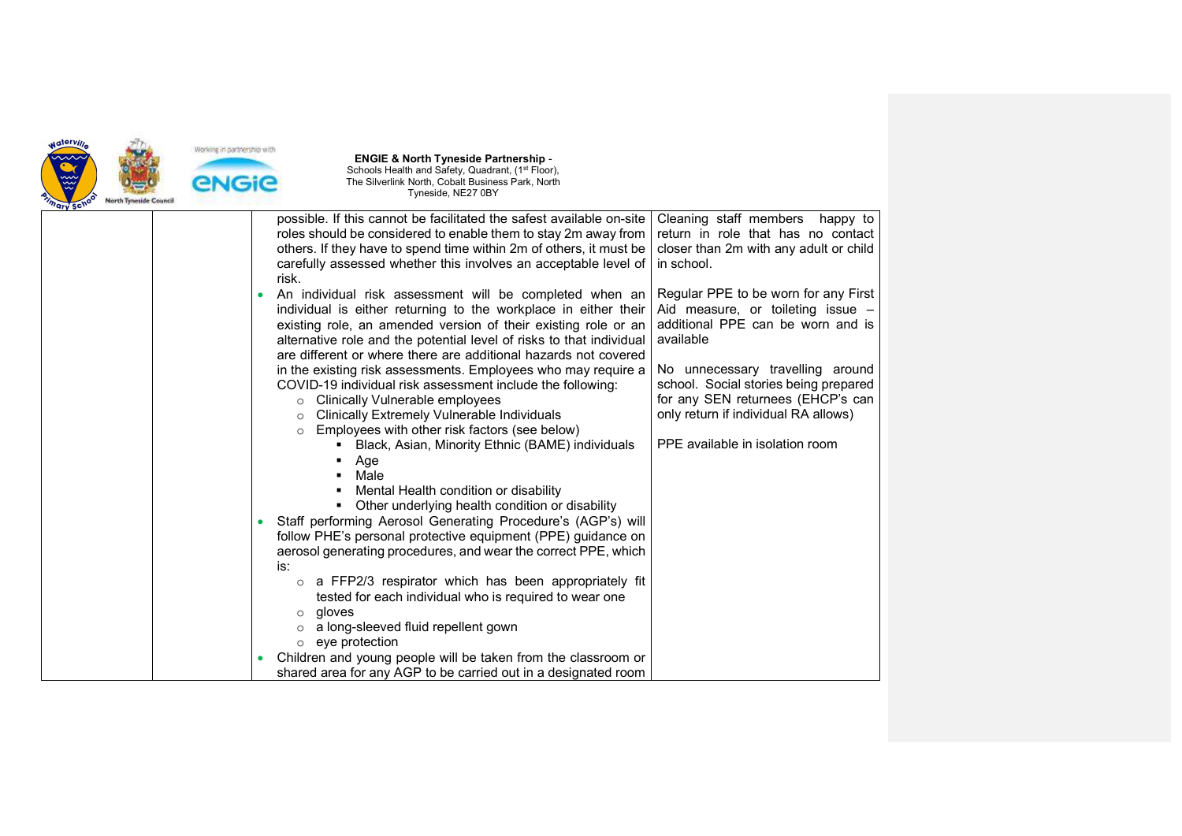

|  | possible. If this cannot be facilitated the safest available on-site | Cleaning staff members happy to        |
|--|----------------------------------------------------------------------|----------------------------------------|
|  | roles should be considered to enable them to stay 2m away from       | return in role that has no contact     |
|  | others. If they have to spend time within 2m of others, it must be   | closer than 2m with any adult or child |
|  | carefully assessed whether this involves an acceptable level of      | in school.                             |
|  | risk.                                                                |                                        |
|  | An individual risk assessment will be completed when an<br>$\bullet$ | Regular PPE to be worn for any First   |
|  | individual is either returning to the workplace in either their      | Aid measure, or toileting issue -      |
|  | existing role, an amended version of their existing role or an       | additional PPE can be worn and is      |
|  | alternative role and the potential level of risks to that individual | available                              |
|  | are different or where there are additional hazards not covered      |                                        |
|  | in the existing risk assessments. Employees who may require a        | No unnecessary travelling around       |
|  | COVID-19 individual risk assessment include the following:           | school. Social stories being prepared  |
|  | Clinically Vulnerable employees                                      | for any SEN returnees (EHCP's can      |
|  | Clinically Extremely Vulnerable Individuals<br>$\circ$               | only return if individual RA allows)   |
|  | Employees with other risk factors (see below)<br>$\circ$             |                                        |
|  | Black, Asian, Minority Ethnic (BAME) individuals                     | PPE available in isolation room        |
|  | Age                                                                  |                                        |
|  | Male                                                                 |                                        |
|  | Mental Health condition or disability                                |                                        |
|  | Other underlying health condition or disability                      |                                        |
|  | Staff performing Aerosol Generating Procedure's (AGP's) will         |                                        |
|  | follow PHE's personal protective equipment (PPE) guidance on         |                                        |
|  | aerosol generating procedures, and wear the correct PPE, which       |                                        |
|  | is:                                                                  |                                        |
|  | o a FFP2/3 respirator which has been appropriately fit               |                                        |
|  | tested for each individual who is required to wear one               |                                        |
|  | gloves<br>$\circ$                                                    |                                        |
|  | a long-sleeved fluid repellent gown                                  |                                        |
|  | $\circ$ eye protection                                               |                                        |
|  | Children and young people will be taken from the classroom or        |                                        |
|  | shared area for any AGP to be carried out in a designated room       |                                        |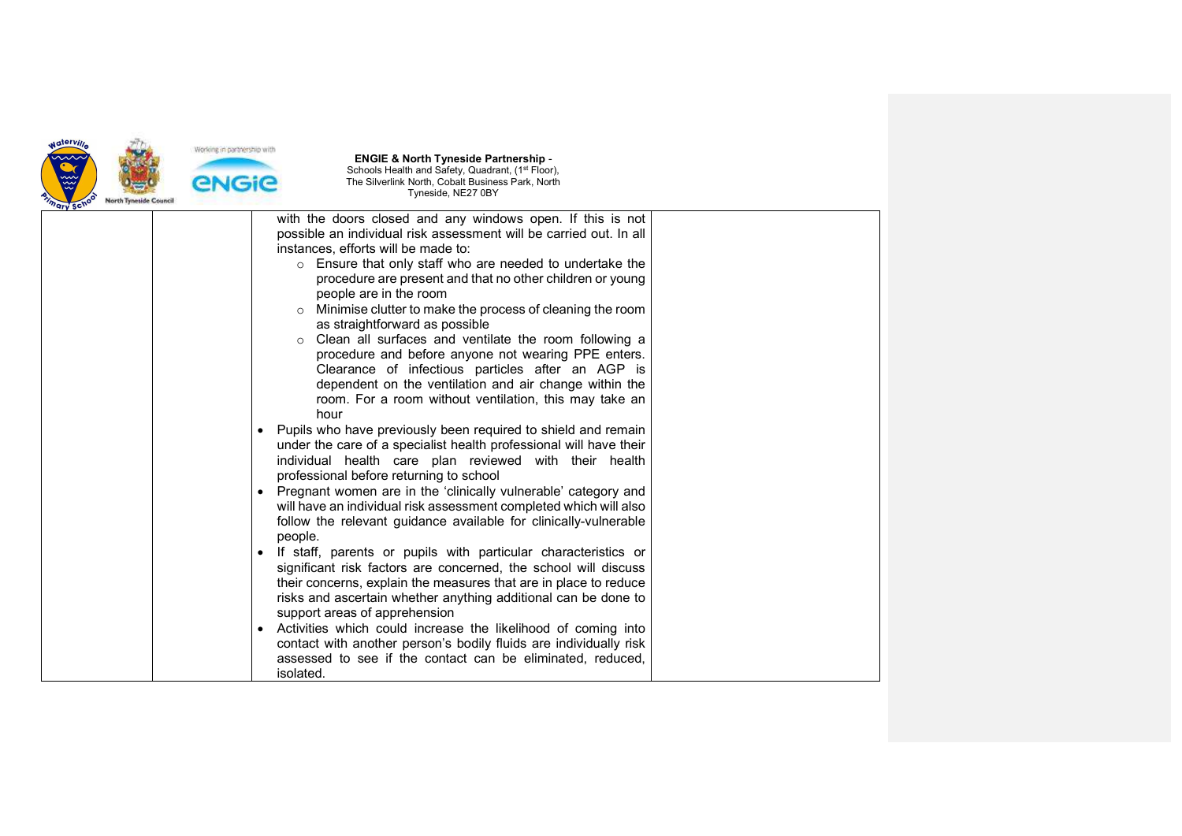

| ury sui |                                                                                                                                                                                                                                                                                                                                                                                                                                                                                                                                                                                                                                                                                                                                                                                                                                                                                                                                                                                                                                                                                                                                       |  |
|---------|---------------------------------------------------------------------------------------------------------------------------------------------------------------------------------------------------------------------------------------------------------------------------------------------------------------------------------------------------------------------------------------------------------------------------------------------------------------------------------------------------------------------------------------------------------------------------------------------------------------------------------------------------------------------------------------------------------------------------------------------------------------------------------------------------------------------------------------------------------------------------------------------------------------------------------------------------------------------------------------------------------------------------------------------------------------------------------------------------------------------------------------|--|
|         | with the doors closed and any windows open. If this is not<br>possible an individual risk assessment will be carried out. In all<br>instances, efforts will be made to:<br>o Ensure that only staff who are needed to undertake the<br>procedure are present and that no other children or young<br>people are in the room<br>Minimise clutter to make the process of cleaning the room<br>as straightforward as possible<br>Clean all surfaces and ventilate the room following a<br>$\circ$<br>procedure and before anyone not wearing PPE enters.<br>Clearance of infectious particles after an AGP is<br>dependent on the ventilation and air change within the<br>room. For a room without ventilation, this may take an<br>hour<br>Pupils who have previously been required to shield and remain<br>under the care of a specialist health professional will have their<br>individual health care plan reviewed with their health<br>professional before returning to school<br>Pregnant women are in the 'clinically vulnerable' category and<br>$\bullet$<br>will have an individual risk assessment completed which will also |  |
|         | follow the relevant guidance available for clinically-vulnerable<br>people.<br>If staff, parents or pupils with particular characteristics or<br>significant risk factors are concerned, the school will discuss<br>their concerns, explain the measures that are in place to reduce<br>risks and ascertain whether anything additional can be done to                                                                                                                                                                                                                                                                                                                                                                                                                                                                                                                                                                                                                                                                                                                                                                                |  |
|         | support areas of apprehension<br>Activities which could increase the likelihood of coming into<br>contact with another person's bodily fluids are individually risk<br>assessed to see if the contact can be eliminated, reduced.<br>isolated.                                                                                                                                                                                                                                                                                                                                                                                                                                                                                                                                                                                                                                                                                                                                                                                                                                                                                        |  |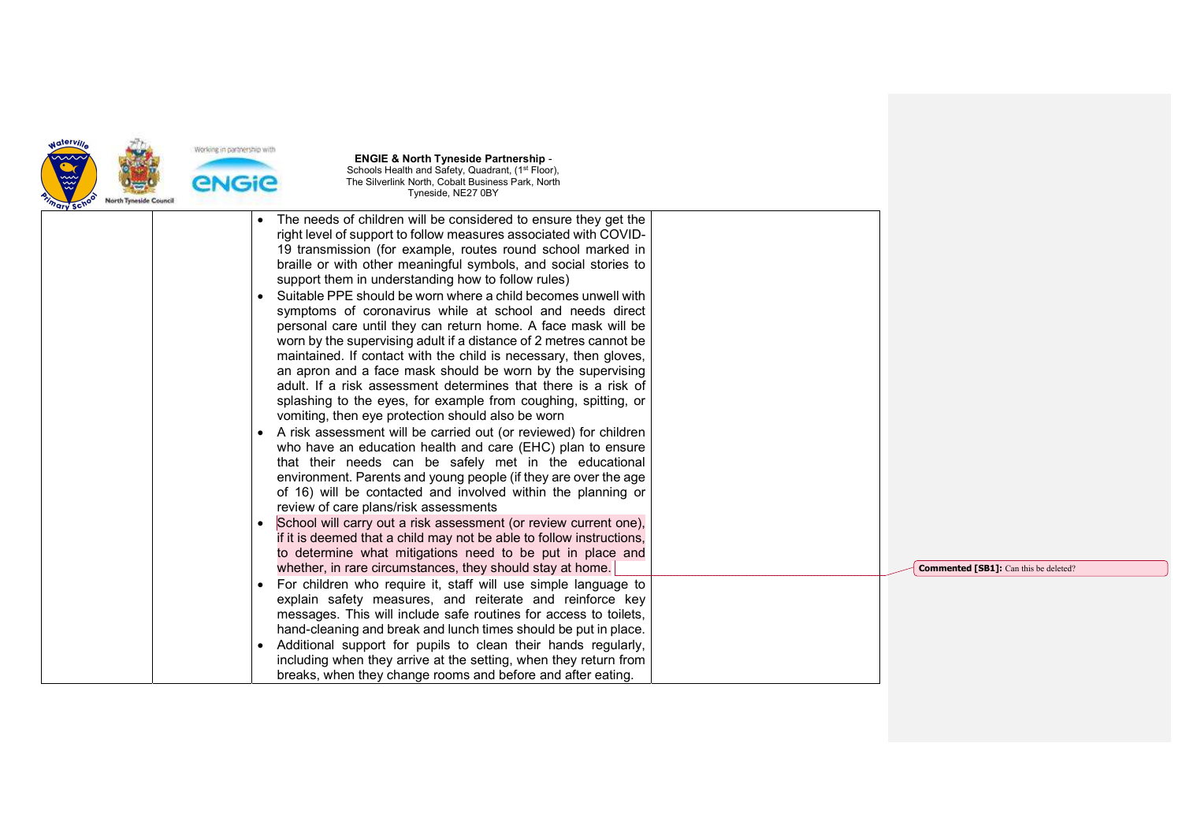

| "ary sch |                                                                                                                                                                                                                                                                                                                                                                                                                                                                                                                                                                                                                                                                                                                                                                                                                                                                                                                                                                                                                                                                                                                                                                                                                                                                                                                                                                                                                                                                                                                                                                                                                                                                                                                                |                                              |
|----------|--------------------------------------------------------------------------------------------------------------------------------------------------------------------------------------------------------------------------------------------------------------------------------------------------------------------------------------------------------------------------------------------------------------------------------------------------------------------------------------------------------------------------------------------------------------------------------------------------------------------------------------------------------------------------------------------------------------------------------------------------------------------------------------------------------------------------------------------------------------------------------------------------------------------------------------------------------------------------------------------------------------------------------------------------------------------------------------------------------------------------------------------------------------------------------------------------------------------------------------------------------------------------------------------------------------------------------------------------------------------------------------------------------------------------------------------------------------------------------------------------------------------------------------------------------------------------------------------------------------------------------------------------------------------------------------------------------------------------------|----------------------------------------------|
|          | The needs of children will be considered to ensure they get the<br>right level of support to follow measures associated with COVID-<br>19 transmission (for example, routes round school marked in<br>braille or with other meaningful symbols, and social stories to<br>support them in understanding how to follow rules)<br>Suitable PPE should be worn where a child becomes unwell with<br>symptoms of coronavirus while at school and needs direct<br>personal care until they can return home. A face mask will be<br>worn by the supervising adult if a distance of 2 metres cannot be<br>maintained. If contact with the child is necessary, then gloves,<br>an apron and a face mask should be worn by the supervising<br>adult. If a risk assessment determines that there is a risk of<br>splashing to the eyes, for example from coughing, spitting, or<br>vomiting, then eye protection should also be worn<br>A risk assessment will be carried out (or reviewed) for children<br>$\bullet$<br>who have an education health and care (EHC) plan to ensure<br>that their needs can be safely met in the educational<br>environment. Parents and young people (if they are over the age<br>of 16) will be contacted and involved within the planning or<br>review of care plans/risk assessments<br>School will carry out a risk assessment (or review current one),<br>if it is deemed that a child may not be able to follow instructions,<br>to determine what mitigations need to be put in place and<br>whether, in rare circumstances, they should stay at home.<br>For children who require it, staff will use simple language to<br>$\bullet$<br>explain safety measures, and reiterate and reinforce key | <b>Commented [SB1]:</b> Can this be deleted? |
|          | messages. This will include safe routines for access to toilets,<br>hand-cleaning and break and lunch times should be put in place.<br>Additional support for pupils to clean their hands regularly,<br>$\bullet$<br>including when they arrive at the setting, when they return from<br>breaks, when they change rooms and before and after eating.                                                                                                                                                                                                                                                                                                                                                                                                                                                                                                                                                                                                                                                                                                                                                                                                                                                                                                                                                                                                                                                                                                                                                                                                                                                                                                                                                                           |                                              |
|          |                                                                                                                                                                                                                                                                                                                                                                                                                                                                                                                                                                                                                                                                                                                                                                                                                                                                                                                                                                                                                                                                                                                                                                                                                                                                                                                                                                                                                                                                                                                                                                                                                                                                                                                                |                                              |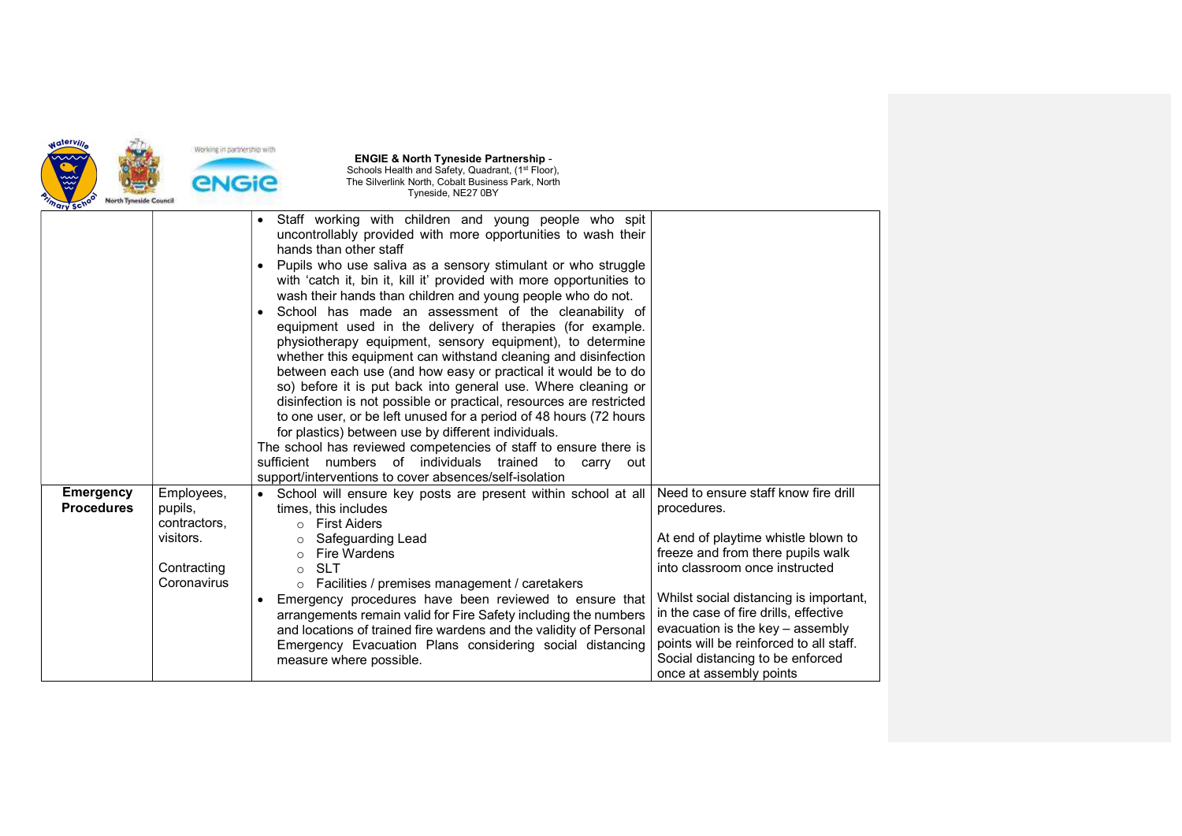

| "ary so"                              |                                                                                  |                                                                                                                                                                                                                                                                                                                                                                                                                                                                                                                                                                                                                                                                                                                                                                                                                                                                                                                                                                                                                                                                                                                                                                                          |                                                                                                                                                                                                                                                                                                                                                                                                    |
|---------------------------------------|----------------------------------------------------------------------------------|------------------------------------------------------------------------------------------------------------------------------------------------------------------------------------------------------------------------------------------------------------------------------------------------------------------------------------------------------------------------------------------------------------------------------------------------------------------------------------------------------------------------------------------------------------------------------------------------------------------------------------------------------------------------------------------------------------------------------------------------------------------------------------------------------------------------------------------------------------------------------------------------------------------------------------------------------------------------------------------------------------------------------------------------------------------------------------------------------------------------------------------------------------------------------------------|----------------------------------------------------------------------------------------------------------------------------------------------------------------------------------------------------------------------------------------------------------------------------------------------------------------------------------------------------------------------------------------------------|
|                                       |                                                                                  | Staff working with children and young people who spit<br>$\bullet$<br>uncontrollably provided with more opportunities to wash their<br>hands than other staff<br>Pupils who use saliva as a sensory stimulant or who struggle<br>$\bullet$<br>with 'catch it, bin it, kill it' provided with more opportunities to<br>wash their hands than children and young people who do not.<br>School has made an assessment of the cleanability of<br>$\bullet$<br>equipment used in the delivery of therapies (for example.<br>physiotherapy equipment, sensory equipment), to determine<br>whether this equipment can withstand cleaning and disinfection<br>between each use (and how easy or practical it would be to do<br>so) before it is put back into general use. Where cleaning or<br>disinfection is not possible or practical, resources are restricted<br>to one user, or be left unused for a period of 48 hours (72 hours<br>for plastics) between use by different individuals.<br>The school has reviewed competencies of staff to ensure there is<br>sufficient numbers of individuals<br>trained to<br>carry<br>out<br>support/interventions to cover absences/self-isolation |                                                                                                                                                                                                                                                                                                                                                                                                    |
| <b>Emergency</b><br><b>Procedures</b> | Employees,<br>pupils,<br>contractors,<br>visitors.<br>Contracting<br>Coronavirus | School will ensure key posts are present within school at all<br>times, this includes<br><b>First Aiders</b><br>$\Omega$<br>Safeguarding Lead<br>$\circ$<br><b>Fire Wardens</b><br>$\circ$<br><b>SLT</b><br>$\bigcap$<br>$\circ$ Facilities / premises management / caretakers<br>Emergency procedures have been reviewed to ensure that<br>$\bullet$<br>arrangements remain valid for Fire Safety including the numbers<br>and locations of trained fire wardens and the validity of Personal<br>Emergency Evacuation Plans considering social distancing<br>measure where possible.                                                                                                                                                                                                                                                                                                                                                                                                                                                                                                                                                                                                    | Need to ensure staff know fire drill<br>procedures.<br>At end of playtime whistle blown to<br>freeze and from there pupils walk<br>into classroom once instructed<br>Whilst social distancing is important,<br>in the case of fire drills, effective<br>evacuation is the key - assembly<br>points will be reinforced to all staff.<br>Social distancing to be enforced<br>once at assembly points |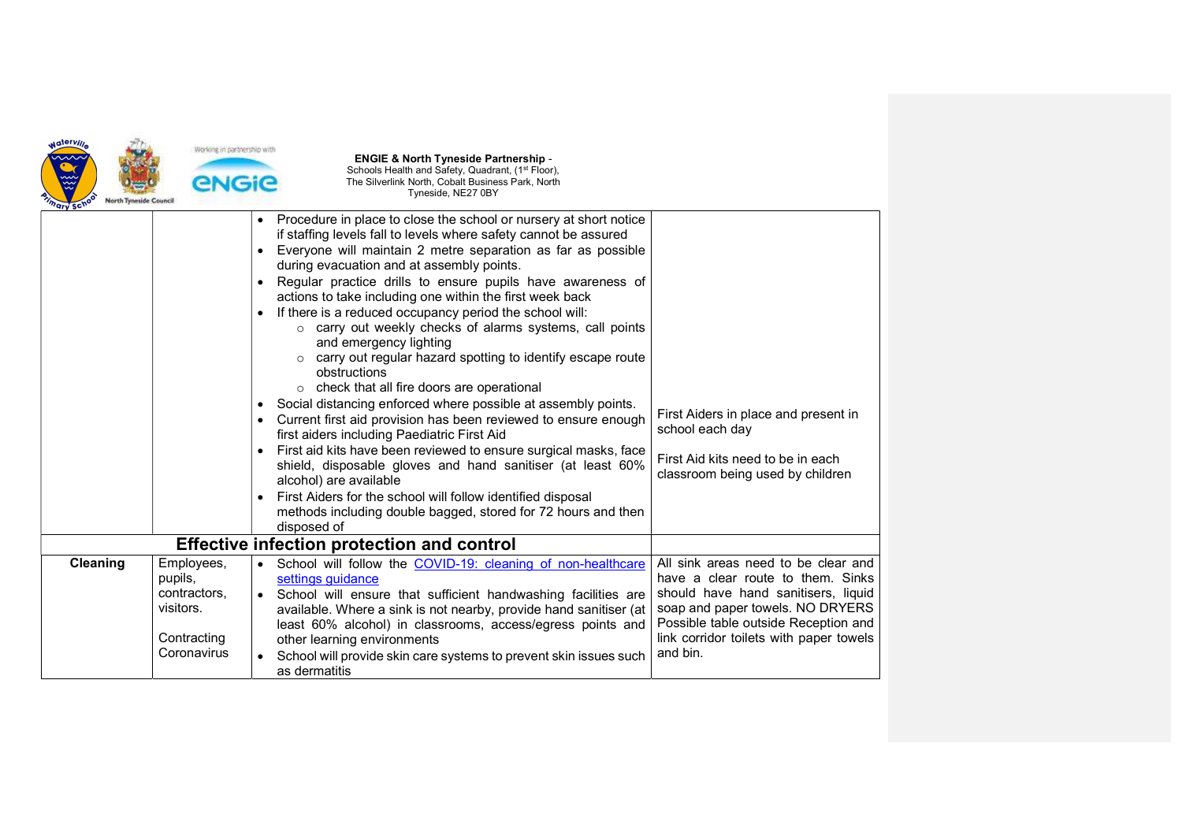

| $\bullet$<br>$\bullet$<br>$\bullet$<br>$\bullet$                                 | if staffing levels fall to levels where safety cannot be assured<br>Everyone will maintain 2 metre separation as far as possible<br>during evacuation and at assembly points.<br>Regular practice drills to ensure pupils have awareness of<br>actions to take including one within the first week back<br>If there is a reduced occupancy period the school will:<br>o carry out weekly checks of alarms systems, call points<br>and emergency lighting<br>o carry out regular hazard spotting to identify escape route<br>obstructions<br>o check that all fire doors are operational<br>Social distancing enforced where possible at assembly points.<br>Current first aid provision has been reviewed to ensure enough<br>first aiders including Paediatric First Aid<br>First aid kits have been reviewed to ensure surgical masks, face<br>shield, disposable gloves and hand sanitiser (at least 60%<br>alcohol) are available<br>First Aiders for the school will follow identified disposal<br>methods including double bagged, stored for 72 hours and then | First Aiders in place and present in<br>school each day<br>First Aid kits need to be in each<br>classroom being used by children                                                                                                                   |
|----------------------------------------------------------------------------------|-----------------------------------------------------------------------------------------------------------------------------------------------------------------------------------------------------------------------------------------------------------------------------------------------------------------------------------------------------------------------------------------------------------------------------------------------------------------------------------------------------------------------------------------------------------------------------------------------------------------------------------------------------------------------------------------------------------------------------------------------------------------------------------------------------------------------------------------------------------------------------------------------------------------------------------------------------------------------------------------------------------------------------------------------------------------------|----------------------------------------------------------------------------------------------------------------------------------------------------------------------------------------------------------------------------------------------------|
|                                                                                  |                                                                                                                                                                                                                                                                                                                                                                                                                                                                                                                                                                                                                                                                                                                                                                                                                                                                                                                                                                                                                                                                       |                                                                                                                                                                                                                                                    |
| Employees,<br>pupils,<br>contractors,<br>visitors.<br>Contracting<br>Coronavirus | School will follow the COVID-19: cleaning of non-healthcare<br>settings guidance<br>School will ensure that sufficient handwashing facilities are<br>available. Where a sink is not nearby, provide hand sanitiser (at<br>least 60% alcohol) in classrooms, access/egress points and<br>other learning environments<br>School will provide skin care systems to prevent skin issues such<br>as dermatitis                                                                                                                                                                                                                                                                                                                                                                                                                                                                                                                                                                                                                                                             | All sink areas need to be clear and<br>have a clear route to them. Sinks<br>should have hand sanitisers, liquid<br>soap and paper towels. NO DRYERS<br>Possible table outside Reception and<br>link corridor toilets with paper towels<br>and bin. |
|                                                                                  |                                                                                                                                                                                                                                                                                                                                                                                                                                                                                                                                                                                                                                                                                                                                                                                                                                                                                                                                                                                                                                                                       | Procedure in place to close the school or nursery at short notice<br>disposed of<br><b>Effective infection protection and control</b>                                                                                                              |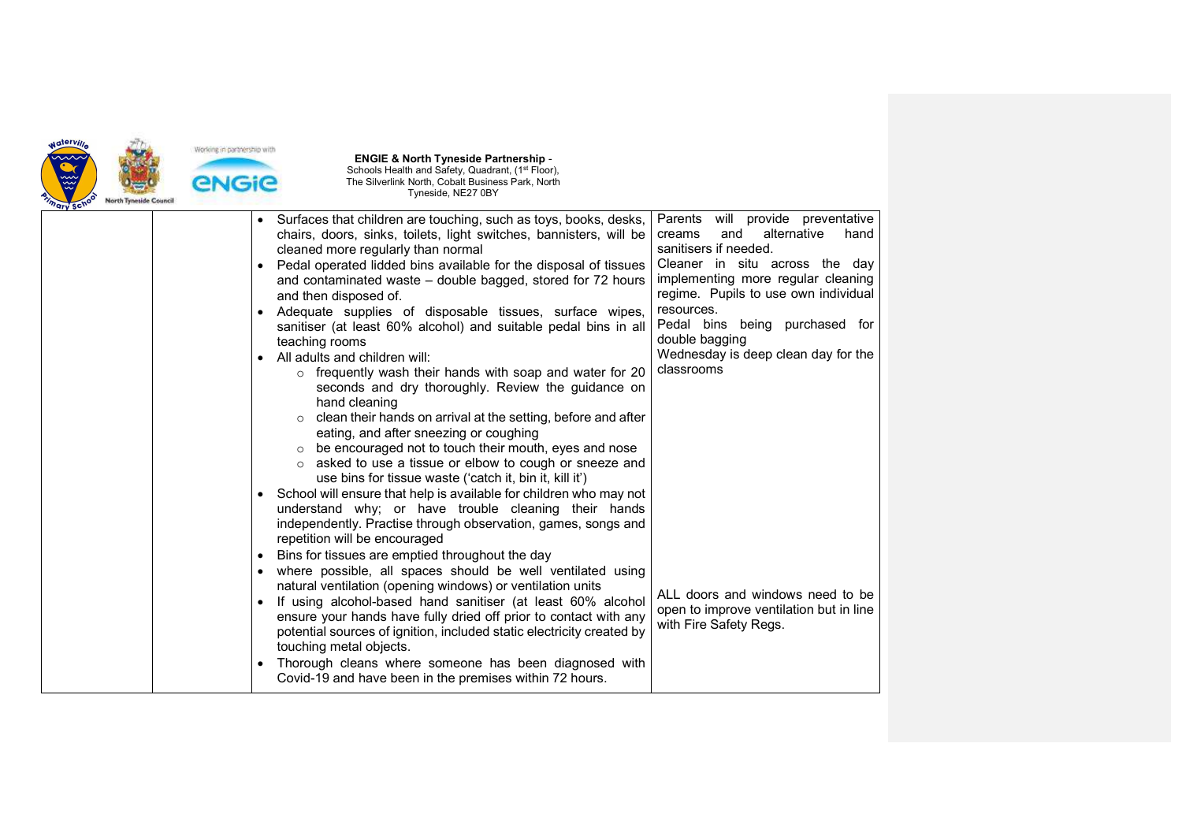

| Parents will provide preventative<br>Surfaces that children are touching, such as toys, books, desks,<br>alternative<br>and<br>hand<br>chairs, doors, sinks, toilets, light switches, bannisters, will be<br>creams<br>sanitisers if needed.<br>cleaned more regularly than normal<br>Cleaner in situ across the day<br>Pedal operated lidded bins available for the disposal of tissues<br>$\bullet$<br>implementing more regular cleaning<br>and contaminated waste - double bagged, stored for 72 hours<br>regime. Pupils to use own individual<br>and then disposed of.<br>resources.<br>Adequate supplies of disposable tissues, surface wipes,<br>Pedal bins being purchased for<br>sanitiser (at least 60% alcohol) and suitable pedal bins in all<br>double bagging<br>teaching rooms<br>Wednesday is deep clean day for the<br>All adults and children will:<br>classrooms<br>$\circ$ frequently wash their hands with soap and water for 20<br>seconds and dry thoroughly. Review the guidance on<br>hand cleaning<br>clean their hands on arrival at the setting, before and after<br>eating, and after sneezing or coughing<br>$\circ$ be encouraged not to touch their mouth, eyes and nose<br>o asked to use a tissue or elbow to cough or sneeze and<br>use bins for tissue waste ('catch it, bin it, kill it')<br>School will ensure that help is available for children who may not<br>understand why; or have trouble cleaning their hands<br>independently. Practise through observation, games, songs and<br>repetition will be encouraged<br>Bins for tissues are emptied throughout the day<br>where possible, all spaces should be well ventilated using<br>natural ventilation (opening windows) or ventilation units<br>ALL doors and windows need to be<br>If using alcohol-based hand sanitiser (at least 60% alcohol<br>٠<br>open to improve ventilation but in line<br>ensure your hands have fully dried off prior to contact with any<br>with Fire Safety Regs.<br>potential sources of ignition, included static electricity created by<br>touching metal objects.<br>Thorough cleans where someone has been diagnosed with<br>Covid-19 and have been in the premises within 72 hours. |  |  |  |
|------------------------------------------------------------------------------------------------------------------------------------------------------------------------------------------------------------------------------------------------------------------------------------------------------------------------------------------------------------------------------------------------------------------------------------------------------------------------------------------------------------------------------------------------------------------------------------------------------------------------------------------------------------------------------------------------------------------------------------------------------------------------------------------------------------------------------------------------------------------------------------------------------------------------------------------------------------------------------------------------------------------------------------------------------------------------------------------------------------------------------------------------------------------------------------------------------------------------------------------------------------------------------------------------------------------------------------------------------------------------------------------------------------------------------------------------------------------------------------------------------------------------------------------------------------------------------------------------------------------------------------------------------------------------------------------------------------------------------------------------------------------------------------------------------------------------------------------------------------------------------------------------------------------------------------------------------------------------------------------------------------------------------------------------------------------------------------------------------------------------------------------------------------------------------------------------------------------------|--|--|--|
|                                                                                                                                                                                                                                                                                                                                                                                                                                                                                                                                                                                                                                                                                                                                                                                                                                                                                                                                                                                                                                                                                                                                                                                                                                                                                                                                                                                                                                                                                                                                                                                                                                                                                                                                                                                                                                                                                                                                                                                                                                                                                                                                                                                                                        |  |  |  |
|                                                                                                                                                                                                                                                                                                                                                                                                                                                                                                                                                                                                                                                                                                                                                                                                                                                                                                                                                                                                                                                                                                                                                                                                                                                                                                                                                                                                                                                                                                                                                                                                                                                                                                                                                                                                                                                                                                                                                                                                                                                                                                                                                                                                                        |  |  |  |
|                                                                                                                                                                                                                                                                                                                                                                                                                                                                                                                                                                                                                                                                                                                                                                                                                                                                                                                                                                                                                                                                                                                                                                                                                                                                                                                                                                                                                                                                                                                                                                                                                                                                                                                                                                                                                                                                                                                                                                                                                                                                                                                                                                                                                        |  |  |  |
|                                                                                                                                                                                                                                                                                                                                                                                                                                                                                                                                                                                                                                                                                                                                                                                                                                                                                                                                                                                                                                                                                                                                                                                                                                                                                                                                                                                                                                                                                                                                                                                                                                                                                                                                                                                                                                                                                                                                                                                                                                                                                                                                                                                                                        |  |  |  |
|                                                                                                                                                                                                                                                                                                                                                                                                                                                                                                                                                                                                                                                                                                                                                                                                                                                                                                                                                                                                                                                                                                                                                                                                                                                                                                                                                                                                                                                                                                                                                                                                                                                                                                                                                                                                                                                                                                                                                                                                                                                                                                                                                                                                                        |  |  |  |
|                                                                                                                                                                                                                                                                                                                                                                                                                                                                                                                                                                                                                                                                                                                                                                                                                                                                                                                                                                                                                                                                                                                                                                                                                                                                                                                                                                                                                                                                                                                                                                                                                                                                                                                                                                                                                                                                                                                                                                                                                                                                                                                                                                                                                        |  |  |  |
|                                                                                                                                                                                                                                                                                                                                                                                                                                                                                                                                                                                                                                                                                                                                                                                                                                                                                                                                                                                                                                                                                                                                                                                                                                                                                                                                                                                                                                                                                                                                                                                                                                                                                                                                                                                                                                                                                                                                                                                                                                                                                                                                                                                                                        |  |  |  |
|                                                                                                                                                                                                                                                                                                                                                                                                                                                                                                                                                                                                                                                                                                                                                                                                                                                                                                                                                                                                                                                                                                                                                                                                                                                                                                                                                                                                                                                                                                                                                                                                                                                                                                                                                                                                                                                                                                                                                                                                                                                                                                                                                                                                                        |  |  |  |
|                                                                                                                                                                                                                                                                                                                                                                                                                                                                                                                                                                                                                                                                                                                                                                                                                                                                                                                                                                                                                                                                                                                                                                                                                                                                                                                                                                                                                                                                                                                                                                                                                                                                                                                                                                                                                                                                                                                                                                                                                                                                                                                                                                                                                        |  |  |  |
|                                                                                                                                                                                                                                                                                                                                                                                                                                                                                                                                                                                                                                                                                                                                                                                                                                                                                                                                                                                                                                                                                                                                                                                                                                                                                                                                                                                                                                                                                                                                                                                                                                                                                                                                                                                                                                                                                                                                                                                                                                                                                                                                                                                                                        |  |  |  |
|                                                                                                                                                                                                                                                                                                                                                                                                                                                                                                                                                                                                                                                                                                                                                                                                                                                                                                                                                                                                                                                                                                                                                                                                                                                                                                                                                                                                                                                                                                                                                                                                                                                                                                                                                                                                                                                                                                                                                                                                                                                                                                                                                                                                                        |  |  |  |
|                                                                                                                                                                                                                                                                                                                                                                                                                                                                                                                                                                                                                                                                                                                                                                                                                                                                                                                                                                                                                                                                                                                                                                                                                                                                                                                                                                                                                                                                                                                                                                                                                                                                                                                                                                                                                                                                                                                                                                                                                                                                                                                                                                                                                        |  |  |  |
|                                                                                                                                                                                                                                                                                                                                                                                                                                                                                                                                                                                                                                                                                                                                                                                                                                                                                                                                                                                                                                                                                                                                                                                                                                                                                                                                                                                                                                                                                                                                                                                                                                                                                                                                                                                                                                                                                                                                                                                                                                                                                                                                                                                                                        |  |  |  |
|                                                                                                                                                                                                                                                                                                                                                                                                                                                                                                                                                                                                                                                                                                                                                                                                                                                                                                                                                                                                                                                                                                                                                                                                                                                                                                                                                                                                                                                                                                                                                                                                                                                                                                                                                                                                                                                                                                                                                                                                                                                                                                                                                                                                                        |  |  |  |
|                                                                                                                                                                                                                                                                                                                                                                                                                                                                                                                                                                                                                                                                                                                                                                                                                                                                                                                                                                                                                                                                                                                                                                                                                                                                                                                                                                                                                                                                                                                                                                                                                                                                                                                                                                                                                                                                                                                                                                                                                                                                                                                                                                                                                        |  |  |  |
|                                                                                                                                                                                                                                                                                                                                                                                                                                                                                                                                                                                                                                                                                                                                                                                                                                                                                                                                                                                                                                                                                                                                                                                                                                                                                                                                                                                                                                                                                                                                                                                                                                                                                                                                                                                                                                                                                                                                                                                                                                                                                                                                                                                                                        |  |  |  |
|                                                                                                                                                                                                                                                                                                                                                                                                                                                                                                                                                                                                                                                                                                                                                                                                                                                                                                                                                                                                                                                                                                                                                                                                                                                                                                                                                                                                                                                                                                                                                                                                                                                                                                                                                                                                                                                                                                                                                                                                                                                                                                                                                                                                                        |  |  |  |
|                                                                                                                                                                                                                                                                                                                                                                                                                                                                                                                                                                                                                                                                                                                                                                                                                                                                                                                                                                                                                                                                                                                                                                                                                                                                                                                                                                                                                                                                                                                                                                                                                                                                                                                                                                                                                                                                                                                                                                                                                                                                                                                                                                                                                        |  |  |  |
|                                                                                                                                                                                                                                                                                                                                                                                                                                                                                                                                                                                                                                                                                                                                                                                                                                                                                                                                                                                                                                                                                                                                                                                                                                                                                                                                                                                                                                                                                                                                                                                                                                                                                                                                                                                                                                                                                                                                                                                                                                                                                                                                                                                                                        |  |  |  |
|                                                                                                                                                                                                                                                                                                                                                                                                                                                                                                                                                                                                                                                                                                                                                                                                                                                                                                                                                                                                                                                                                                                                                                                                                                                                                                                                                                                                                                                                                                                                                                                                                                                                                                                                                                                                                                                                                                                                                                                                                                                                                                                                                                                                                        |  |  |  |
|                                                                                                                                                                                                                                                                                                                                                                                                                                                                                                                                                                                                                                                                                                                                                                                                                                                                                                                                                                                                                                                                                                                                                                                                                                                                                                                                                                                                                                                                                                                                                                                                                                                                                                                                                                                                                                                                                                                                                                                                                                                                                                                                                                                                                        |  |  |  |
|                                                                                                                                                                                                                                                                                                                                                                                                                                                                                                                                                                                                                                                                                                                                                                                                                                                                                                                                                                                                                                                                                                                                                                                                                                                                                                                                                                                                                                                                                                                                                                                                                                                                                                                                                                                                                                                                                                                                                                                                                                                                                                                                                                                                                        |  |  |  |
|                                                                                                                                                                                                                                                                                                                                                                                                                                                                                                                                                                                                                                                                                                                                                                                                                                                                                                                                                                                                                                                                                                                                                                                                                                                                                                                                                                                                                                                                                                                                                                                                                                                                                                                                                                                                                                                                                                                                                                                                                                                                                                                                                                                                                        |  |  |  |
|                                                                                                                                                                                                                                                                                                                                                                                                                                                                                                                                                                                                                                                                                                                                                                                                                                                                                                                                                                                                                                                                                                                                                                                                                                                                                                                                                                                                                                                                                                                                                                                                                                                                                                                                                                                                                                                                                                                                                                                                                                                                                                                                                                                                                        |  |  |  |
|                                                                                                                                                                                                                                                                                                                                                                                                                                                                                                                                                                                                                                                                                                                                                                                                                                                                                                                                                                                                                                                                                                                                                                                                                                                                                                                                                                                                                                                                                                                                                                                                                                                                                                                                                                                                                                                                                                                                                                                                                                                                                                                                                                                                                        |  |  |  |
|                                                                                                                                                                                                                                                                                                                                                                                                                                                                                                                                                                                                                                                                                                                                                                                                                                                                                                                                                                                                                                                                                                                                                                                                                                                                                                                                                                                                                                                                                                                                                                                                                                                                                                                                                                                                                                                                                                                                                                                                                                                                                                                                                                                                                        |  |  |  |
|                                                                                                                                                                                                                                                                                                                                                                                                                                                                                                                                                                                                                                                                                                                                                                                                                                                                                                                                                                                                                                                                                                                                                                                                                                                                                                                                                                                                                                                                                                                                                                                                                                                                                                                                                                                                                                                                                                                                                                                                                                                                                                                                                                                                                        |  |  |  |
|                                                                                                                                                                                                                                                                                                                                                                                                                                                                                                                                                                                                                                                                                                                                                                                                                                                                                                                                                                                                                                                                                                                                                                                                                                                                                                                                                                                                                                                                                                                                                                                                                                                                                                                                                                                                                                                                                                                                                                                                                                                                                                                                                                                                                        |  |  |  |
|                                                                                                                                                                                                                                                                                                                                                                                                                                                                                                                                                                                                                                                                                                                                                                                                                                                                                                                                                                                                                                                                                                                                                                                                                                                                                                                                                                                                                                                                                                                                                                                                                                                                                                                                                                                                                                                                                                                                                                                                                                                                                                                                                                                                                        |  |  |  |
|                                                                                                                                                                                                                                                                                                                                                                                                                                                                                                                                                                                                                                                                                                                                                                                                                                                                                                                                                                                                                                                                                                                                                                                                                                                                                                                                                                                                                                                                                                                                                                                                                                                                                                                                                                                                                                                                                                                                                                                                                                                                                                                                                                                                                        |  |  |  |
|                                                                                                                                                                                                                                                                                                                                                                                                                                                                                                                                                                                                                                                                                                                                                                                                                                                                                                                                                                                                                                                                                                                                                                                                                                                                                                                                                                                                                                                                                                                                                                                                                                                                                                                                                                                                                                                                                                                                                                                                                                                                                                                                                                                                                        |  |  |  |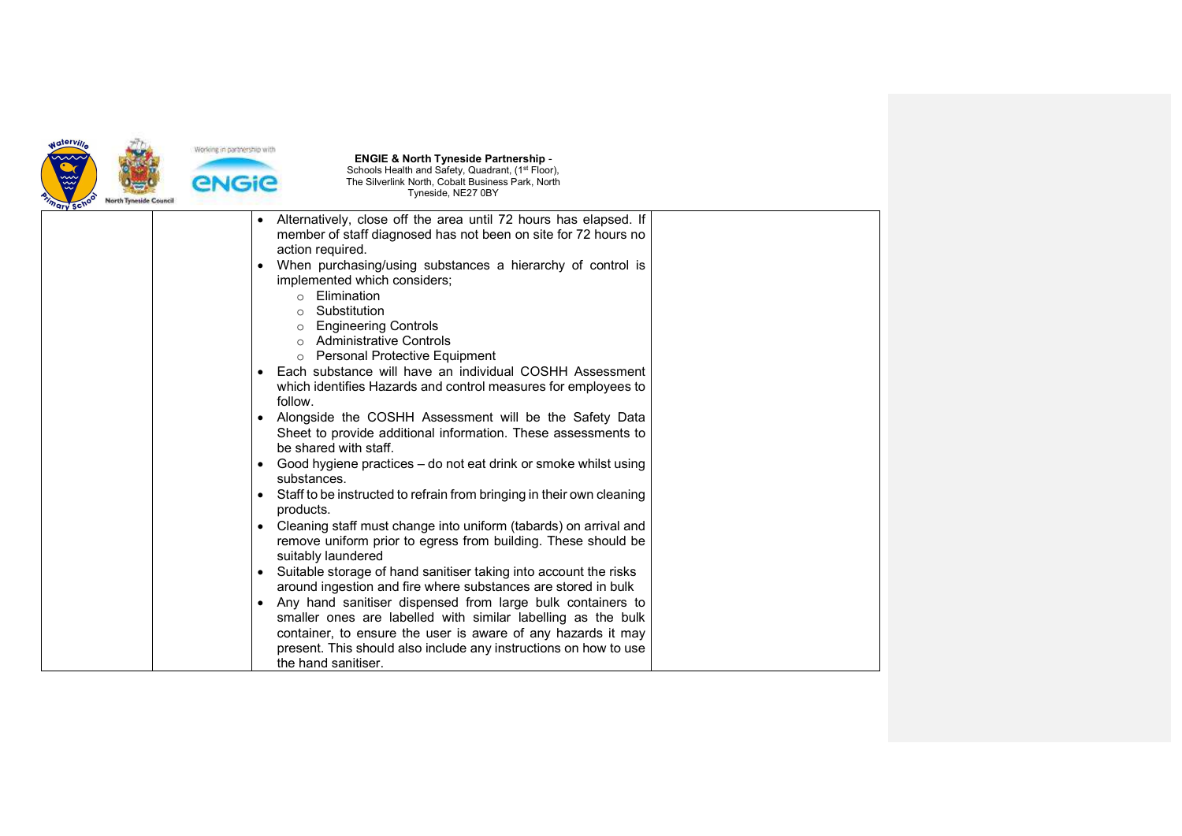

| ary sc. | Alternatively, close off the area until 72 hours has elapsed. If<br>$\bullet$<br>member of staff diagnosed has not been on site for 72 hours no<br>action required.<br>When purchasing/using substances a hierarchy of control is<br>$\bullet$<br>implemented which considers;<br>Elimination<br>$\circ$<br>Substitution<br>$\bigcirc$<br><b>Engineering Controls</b><br>$\circ$<br><b>Administrative Controls</b><br>$\bigcirc$<br><b>Personal Protective Equipment</b><br>$\circ$<br>Each substance will have an individual COSHH Assessment<br>which identifies Hazards and control measures for employees to<br>follow.<br>Alongside the COSHH Assessment will be the Safety Data<br>Sheet to provide additional information. These assessments to<br>be shared with staff.<br>Good hygiene practices – do not eat drink or smoke whilst using<br>$\bullet$<br>substances.<br>Staff to be instructed to refrain from bringing in their own cleaning<br>products.<br>Cleaning staff must change into uniform (tabards) on arrival and<br>$\bullet$ |  |
|---------|-------------------------------------------------------------------------------------------------------------------------------------------------------------------------------------------------------------------------------------------------------------------------------------------------------------------------------------------------------------------------------------------------------------------------------------------------------------------------------------------------------------------------------------------------------------------------------------------------------------------------------------------------------------------------------------------------------------------------------------------------------------------------------------------------------------------------------------------------------------------------------------------------------------------------------------------------------------------------------------------------------------------------------------------------------|--|
|         | remove uniform prior to egress from building. These should be<br>suitably laundered<br>Suitable storage of hand sanitiser taking into account the risks<br>around ingestion and fire where substances are stored in bulk<br>Any hand sanitiser dispensed from large bulk containers to<br>smaller ones are labelled with similar labelling as the bulk<br>container, to ensure the user is aware of any hazards it may                                                                                                                                                                                                                                                                                                                                                                                                                                                                                                                                                                                                                                |  |
|         | present. This should also include any instructions on how to use<br>the hand sanitiser.                                                                                                                                                                                                                                                                                                                                                                                                                                                                                                                                                                                                                                                                                                                                                                                                                                                                                                                                                               |  |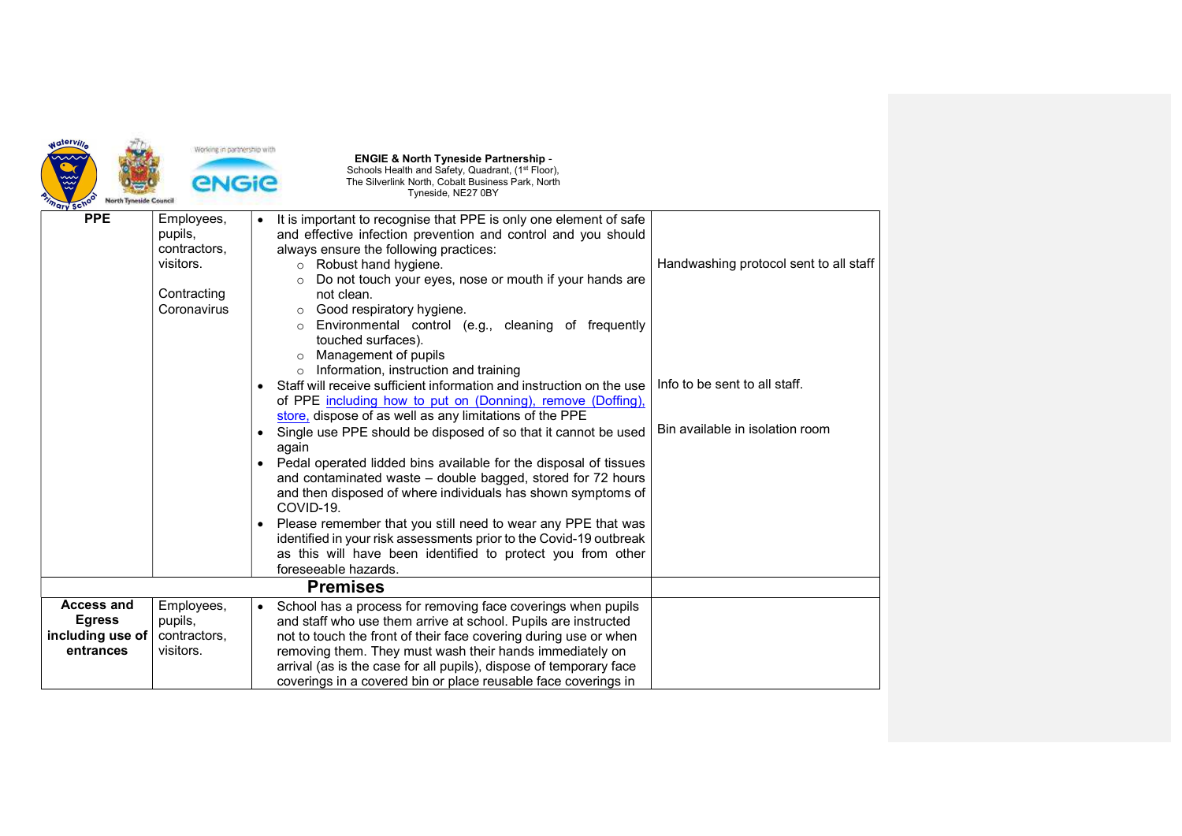| Naterville<br><b>North Tyneside Council</b><br><sup>7</sup> ary Sc <sup>y</sup> | Working in partnership with<br><b>ENGIE</b>                                      | <b>ENGIE &amp; North Tyneside Partnership -</b><br>Schools Health and Safety, Quadrant, (1 <sup>st</sup> Floor),<br>The Silverlink North, Cobalt Business Park, North<br>Tyneside, NE27 0BY                                                                                                                                                                                                                                                                                                                                                                                                                                                                                                                                                                                                                                                                                                                                                                                                                                                                                                                                        |                                                                                                            |
|---------------------------------------------------------------------------------|----------------------------------------------------------------------------------|------------------------------------------------------------------------------------------------------------------------------------------------------------------------------------------------------------------------------------------------------------------------------------------------------------------------------------------------------------------------------------------------------------------------------------------------------------------------------------------------------------------------------------------------------------------------------------------------------------------------------------------------------------------------------------------------------------------------------------------------------------------------------------------------------------------------------------------------------------------------------------------------------------------------------------------------------------------------------------------------------------------------------------------------------------------------------------------------------------------------------------|------------------------------------------------------------------------------------------------------------|
| <b>PPE</b>                                                                      | Employees,<br>pupils,<br>contractors,<br>visitors.<br>Contracting<br>Coronavirus | It is important to recognise that PPE is only one element of safe<br>and effective infection prevention and control and you should<br>always ensure the following practices:<br>o Robust hand hygiene.<br>Do not touch your eyes, nose or mouth if your hands are<br>not clean.<br>Good respiratory hygiene.<br>Environmental control (e.g., cleaning of frequently<br>touched surfaces).<br>Management of pupils<br>Information, instruction and training<br>$\circ$<br>Staff will receive sufficient information and instruction on the use<br>of PPE including how to put on (Donning), remove (Doffing),<br>store, dispose of as well as any limitations of the PPE<br>Single use PPE should be disposed of so that it cannot be used<br>$\bullet$<br>again<br>Pedal operated lidded bins available for the disposal of tissues<br>$\bullet$<br>and contaminated waste - double bagged, stored for 72 hours<br>and then disposed of where individuals has shown symptoms of<br>COVID-19.<br>Please remember that you still need to wear any PPE that was<br>identified in your risk assessments prior to the Covid-19 outbreak | Handwashing protocol sent to all staff<br>Info to be sent to all staff.<br>Bin available in isolation room |
|                                                                                 |                                                                                  | as this will have been identified to protect you from other<br>foreseeable hazards.                                                                                                                                                                                                                                                                                                                                                                                                                                                                                                                                                                                                                                                                                                                                                                                                                                                                                                                                                                                                                                                |                                                                                                            |
|                                                                                 |                                                                                  |                                                                                                                                                                                                                                                                                                                                                                                                                                                                                                                                                                                                                                                                                                                                                                                                                                                                                                                                                                                                                                                                                                                                    |                                                                                                            |
| <b>Access and</b><br><b>Egress</b><br>including use of<br>entrances             | Employees,<br>pupils,<br>contractors,<br>visitors.                               | School has a process for removing face coverings when pupils<br>and staff who use them arrive at school. Pupils are instructed<br>not to touch the front of their face covering during use or when<br>removing them. They must wash their hands immediately on<br>arrival (as is the case for all pupils), dispose of temporary face<br>coverings in a covered bin or place reusable face coverings in                                                                                                                                                                                                                                                                                                                                                                                                                                                                                                                                                                                                                                                                                                                             |                                                                                                            |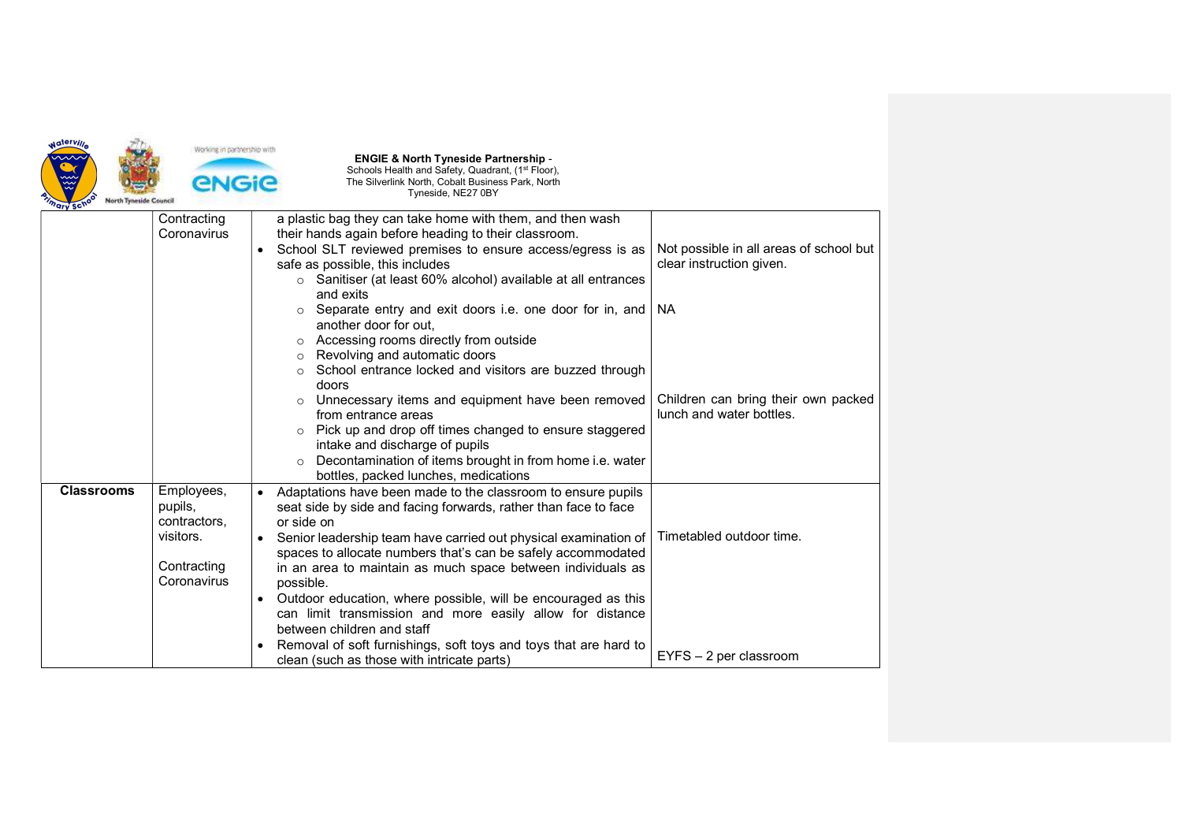

| ary sur           |                                                                                  |                                                                                                                                                                                                                                                                                                                                                                                                                                                                                                                                                                                                           |                                                                                  |
|-------------------|----------------------------------------------------------------------------------|-----------------------------------------------------------------------------------------------------------------------------------------------------------------------------------------------------------------------------------------------------------------------------------------------------------------------------------------------------------------------------------------------------------------------------------------------------------------------------------------------------------------------------------------------------------------------------------------------------------|----------------------------------------------------------------------------------|
|                   | Contracting<br>Coronavirus                                                       | a plastic bag they can take home with them, and then wash<br>their hands again before heading to their classroom.<br>School SLT reviewed premises to ensure access/egress is as<br>$\bullet$<br>safe as possible, this includes<br>$\circ$ Sanitiser (at least 60% alcohol) available at all entrances<br>and exits<br>Separate entry and exit doors i.e. one door for in, and                                                                                                                                                                                                                            | Not possible in all areas of school but<br>clear instruction given.<br><b>NA</b> |
|                   |                                                                                  | O<br>another door for out.<br>Accessing rooms directly from outside<br>$\circ$<br>Revolving and automatic doors<br>$\circ$<br>School entrance locked and visitors are buzzed through<br>doors<br>Unnecessary items and equipment have been removed<br>$\circ$<br>from entrance areas<br>Pick up and drop off times changed to ensure staggered<br>intake and discharge of pupils<br>Decontamination of items brought in from home i.e. water<br>$\circ$<br>bottles, packed lunches, medications                                                                                                           | Children can bring their own packed<br>lunch and water bottles.                  |
| <b>Classrooms</b> | Employees,<br>pupils,<br>contractors,<br>visitors.<br>Contracting<br>Coronavirus | Adaptations have been made to the classroom to ensure pupils<br>$\bullet$<br>seat side by side and facing forwards, rather than face to face<br>or side on<br>Senior leadership team have carried out physical examination of<br>spaces to allocate numbers that's can be safely accommodated<br>in an area to maintain as much space between individuals as<br>possible.<br>Outdoor education, where possible, will be encouraged as this<br>can limit transmission and more easily allow for distance<br>between children and staff<br>Removal of soft furnishings, soft toys and toys that are hard to | Timetabled outdoor time.                                                         |
|                   |                                                                                  | clean (such as those with intricate parts)                                                                                                                                                                                                                                                                                                                                                                                                                                                                                                                                                                | $EYFS - 2$ per classroom                                                         |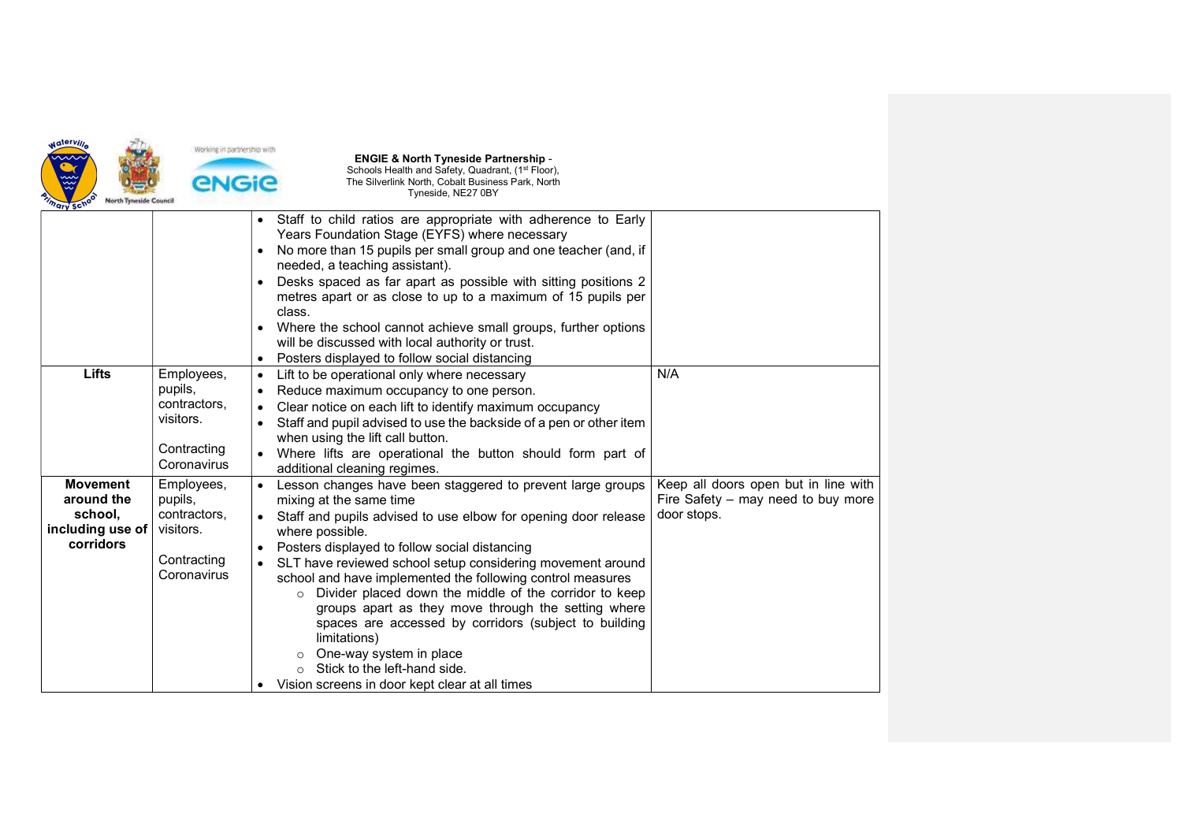

| "ary so"                                                                  |                                                                                  |                                                                                                                                                                                                                                                                                                                                                                                                                                                                                                                                                                                                                                                                             |                                                                                           |
|---------------------------------------------------------------------------|----------------------------------------------------------------------------------|-----------------------------------------------------------------------------------------------------------------------------------------------------------------------------------------------------------------------------------------------------------------------------------------------------------------------------------------------------------------------------------------------------------------------------------------------------------------------------------------------------------------------------------------------------------------------------------------------------------------------------------------------------------------------------|-------------------------------------------------------------------------------------------|
|                                                                           |                                                                                  | Staff to child ratios are appropriate with adherence to Early<br>$\bullet$<br>Years Foundation Stage (EYFS) where necessary<br>No more than 15 pupils per small group and one teacher (and, if<br>needed, a teaching assistant).<br>Desks spaced as far apart as possible with sitting positions 2<br>metres apart or as close to up to a maximum of 15 pupils per<br>class.<br>Where the school cannot achieve small groups, further options<br>will be discussed with local authority or trust.<br>Posters displayed to follow social distancing                                                                                                                          |                                                                                           |
| Lifts                                                                     | Employees,<br>pupils,<br>contractors.<br>visitors.<br>Contracting<br>Coronavirus | Lift to be operational only where necessary<br>$\bullet$<br>Reduce maximum occupancy to one person.<br>$\bullet$<br>Clear notice on each lift to identify maximum occupancy<br>Staff and pupil advised to use the backside of a pen or other item<br>when using the lift call button.<br>Where lifts are operational the button should form part of<br>additional cleaning regimes.                                                                                                                                                                                                                                                                                         | N/A                                                                                       |
| <b>Movement</b><br>around the<br>school,<br>including use of<br>corridors | Employees,<br>pupils,<br>contractors.<br>visitors.<br>Contracting<br>Coronavirus | Lesson changes have been staggered to prevent large groups<br>mixing at the same time<br>Staff and pupils advised to use elbow for opening door release<br>where possible.<br>Posters displayed to follow social distancing<br>SLT have reviewed school setup considering movement around<br>school and have implemented the following control measures<br>o Divider placed down the middle of the corridor to keep<br>groups apart as they move through the setting where<br>spaces are accessed by corridors (subject to building<br>limitations)<br>One-way system in place<br>$\circ$<br>Stick to the left-hand side.<br>Vision screens in door kept clear at all times | Keep all doors open but in line with<br>Fire Safety - may need to buy more<br>door stops. |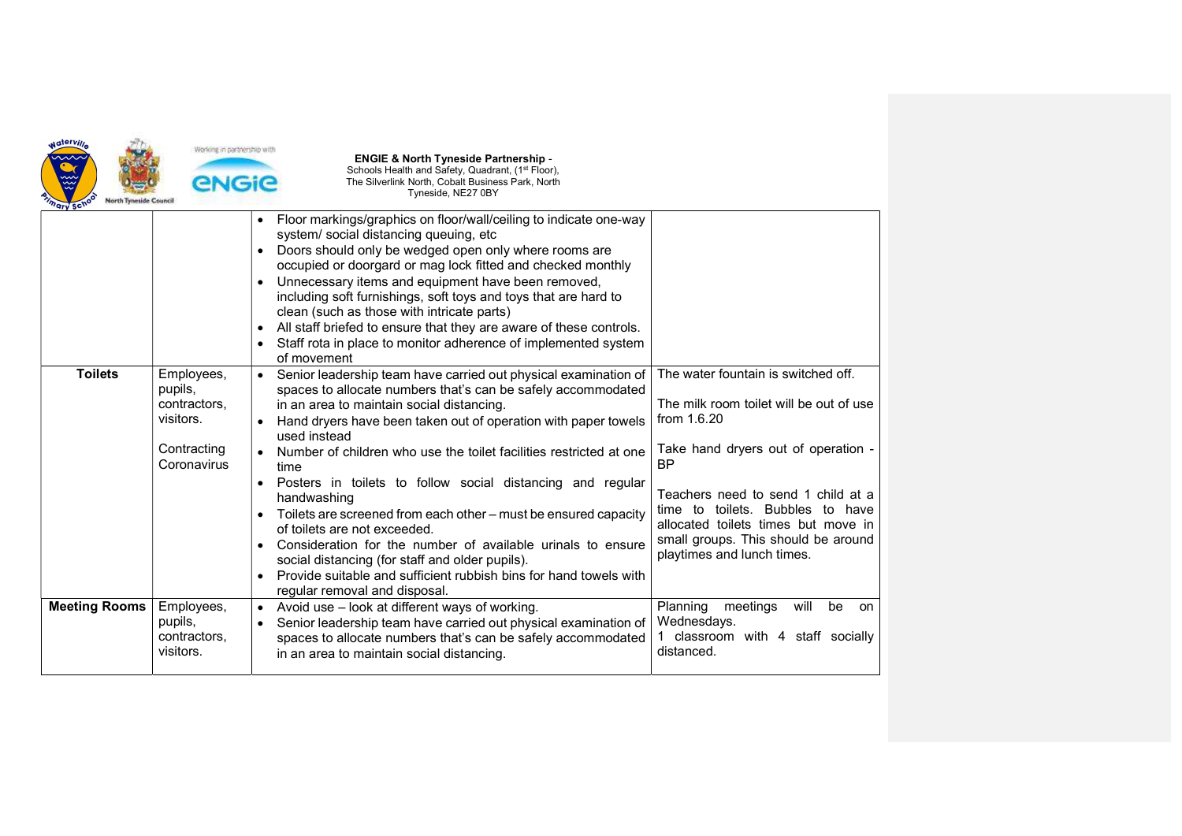

| ary son              |                                                                                  |                                                                                                                                                                                                                                                                                                                                                                                                                                                                                                                                                                                                                                                                                                                                                                                                                                    |                                                                                                                                                                                                                                                                                                                                         |
|----------------------|----------------------------------------------------------------------------------|------------------------------------------------------------------------------------------------------------------------------------------------------------------------------------------------------------------------------------------------------------------------------------------------------------------------------------------------------------------------------------------------------------------------------------------------------------------------------------------------------------------------------------------------------------------------------------------------------------------------------------------------------------------------------------------------------------------------------------------------------------------------------------------------------------------------------------|-----------------------------------------------------------------------------------------------------------------------------------------------------------------------------------------------------------------------------------------------------------------------------------------------------------------------------------------|
|                      |                                                                                  | Floor markings/graphics on floor/wall/ceiling to indicate one-way<br>$\bullet$<br>system/ social distancing queuing, etc<br>Doors should only be wedged open only where rooms are<br>$\bullet$<br>occupied or doorgard or mag lock fitted and checked monthly<br>Unnecessary items and equipment have been removed,<br>including soft furnishings, soft toys and toys that are hard to<br>clean (such as those with intricate parts)<br>All staff briefed to ensure that they are aware of these controls.<br>$\bullet$<br>Staff rota in place to monitor adherence of implemented system<br>$\bullet$<br>of movement                                                                                                                                                                                                              |                                                                                                                                                                                                                                                                                                                                         |
| <b>Toilets</b>       | Employees,<br>pupils,<br>contractors,<br>visitors.<br>Contracting<br>Coronavirus | Senior leadership team have carried out physical examination of<br>$\bullet$<br>spaces to allocate numbers that's can be safely accommodated<br>in an area to maintain social distancing.<br>Hand dryers have been taken out of operation with paper towels<br>$\bullet$<br>used instead<br>Number of children who use the toilet facilities restricted at one<br>time<br>Posters in toilets to follow social distancing and regular<br>$\bullet$<br>handwashing<br>Toilets are screened from each other - must be ensured capacity<br>$\bullet$<br>of toilets are not exceeded.<br>Consideration for the number of available urinals to ensure<br>$\bullet$<br>social distancing (for staff and older pupils).<br>Provide suitable and sufficient rubbish bins for hand towels with<br>$\bullet$<br>regular removal and disposal. | The water fountain is switched off.<br>The milk room toilet will be out of use<br>from 1.6.20<br>Take hand dryers out of operation -<br><b>BP</b><br>Teachers need to send 1 child at a<br>time to toilets. Bubbles to have<br>allocated toilets times but move in<br>small groups. This should be around<br>playtimes and lunch times. |
| <b>Meeting Rooms</b> | Employees,<br>pupils,<br>contractors,<br>visitors.                               | Avoid use - look at different ways of working.<br>$\bullet$<br>Senior leadership team have carried out physical examination of<br>spaces to allocate numbers that's can be safely accommodated<br>in an area to maintain social distancing.                                                                                                                                                                                                                                                                                                                                                                                                                                                                                                                                                                                        | Planning<br>meetings<br>will<br>be<br>on<br>Wednesdays.<br>classroom with 4 staff socially<br>distanced.                                                                                                                                                                                                                                |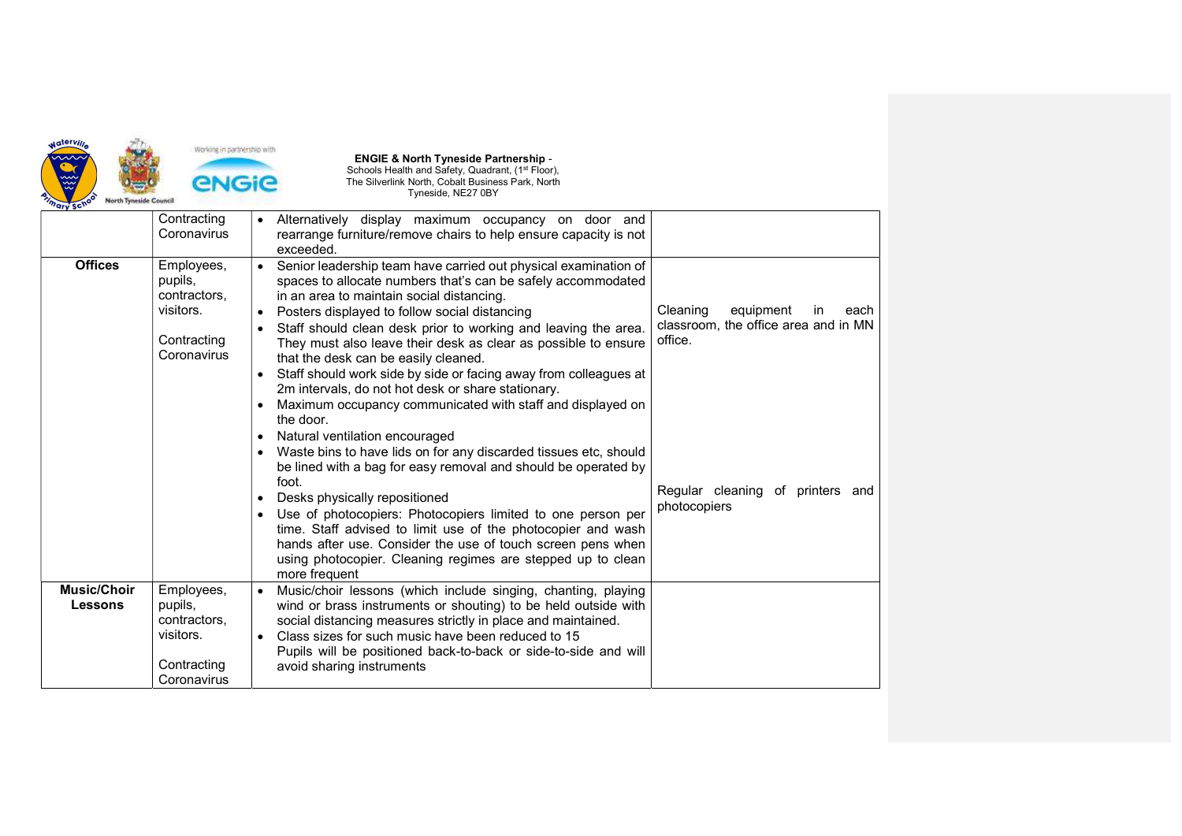

|                                      | Contracting<br>Coronavirus                                                       | Alternatively display maximum occupancy on door and<br>rearrange furniture/remove chairs to help ensure capacity is not<br>exceeded.                                                                                                                                                                                                                                                                                                                                                                                                                                                                                                                                                                                                                        |                                                                                        |
|--------------------------------------|----------------------------------------------------------------------------------|-------------------------------------------------------------------------------------------------------------------------------------------------------------------------------------------------------------------------------------------------------------------------------------------------------------------------------------------------------------------------------------------------------------------------------------------------------------------------------------------------------------------------------------------------------------------------------------------------------------------------------------------------------------------------------------------------------------------------------------------------------------|----------------------------------------------------------------------------------------|
| <b>Offices</b>                       | Employees,<br>pupils,<br>contractors,<br>visitors.<br>Contracting<br>Coronavirus | Senior leadership team have carried out physical examination of<br>spaces to allocate numbers that's can be safely accommodated<br>in an area to maintain social distancing.<br>Posters displayed to follow social distancing<br>$\bullet$<br>Staff should clean desk prior to working and leaving the area.<br>$\bullet$<br>They must also leave their desk as clear as possible to ensure<br>that the desk can be easily cleaned.<br>Staff should work side by side or facing away from colleagues at<br>2m intervals, do not hot desk or share stationary.<br>Maximum occupancy communicated with staff and displayed on<br>the door.<br>Natural ventilation encouraged<br>$\bullet$<br>Waste bins to have lids on for any discarded tissues etc, should | equipment<br>Cleaning<br>each<br>in<br>classroom, the office area and in MN<br>office. |
|                                      |                                                                                  | be lined with a bag for easy removal and should be operated by<br>foot.<br>Desks physically repositioned<br>$\bullet$<br>Use of photocopiers: Photocopiers limited to one person per<br>$\bullet$<br>time. Staff advised to limit use of the photocopier and wash<br>hands after use. Consider the use of touch screen pens when<br>using photocopier. Cleaning regimes are stepped up to clean<br>more frequent                                                                                                                                                                                                                                                                                                                                            | Regular cleaning of printers<br>and<br>photocopiers                                    |
| <b>Music/Choir</b><br><b>Lessons</b> | Employees,<br>pupils,<br>contractors,<br>visitors.<br>Contracting<br>Coronavirus | Music/choir lessons (which include singing, chanting, playing<br>wind or brass instruments or shouting) to be held outside with<br>social distancing measures strictly in place and maintained.<br>Class sizes for such music have been reduced to 15<br>Pupils will be positioned back-to-back or side-to-side and will<br>avoid sharing instruments                                                                                                                                                                                                                                                                                                                                                                                                       |                                                                                        |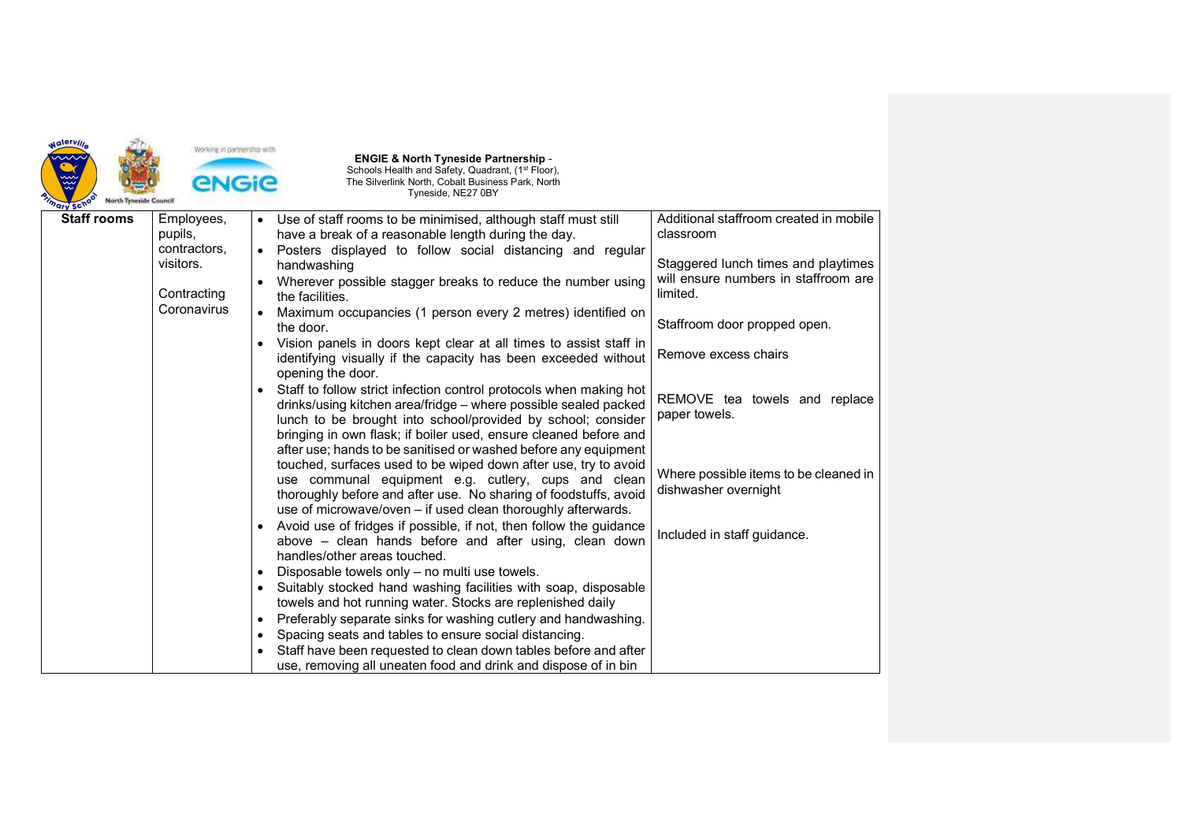| <b>Waterville</b><br>$\mathcal{\mathcal{\mathcal{\mathcal{W}}}}$<br><b>North Tyneside Council</b><br>mary sch | Working in partnership with<br><b>ENGIE</b> |           | <b>ENGIE &amp; North Tyneside Partnership -</b><br>Schools Health and Safety, Quadrant, (1st Floor),<br>The Silverlink North, Cobalt Business Park, North<br>Tyneside, NE27 0BY                                                                                                                                               |                                                               |
|---------------------------------------------------------------------------------------------------------------|---------------------------------------------|-----------|-------------------------------------------------------------------------------------------------------------------------------------------------------------------------------------------------------------------------------------------------------------------------------------------------------------------------------|---------------------------------------------------------------|
| <b>Staff rooms</b>                                                                                            | Employees,<br>pupils,                       |           | Use of staff rooms to be minimised, although staff must still<br>have a break of a reasonable length during the day.                                                                                                                                                                                                          | Additional staffroom created in mobile<br>classroom           |
|                                                                                                               | contractors,<br>visitors.                   |           | Posters displayed to follow social distancing and regular<br>handwashing                                                                                                                                                                                                                                                      | Staggered lunch times and playtimes                           |
|                                                                                                               | Contracting                                 |           | Wherever possible stagger breaks to reduce the number using<br>the facilities.                                                                                                                                                                                                                                                | will ensure numbers in staffroom are<br>limited.              |
|                                                                                                               | Coronavirus                                 |           | Maximum occupancies (1 person every 2 metres) identified on<br>the door.                                                                                                                                                                                                                                                      | Staffroom door propped open.                                  |
|                                                                                                               |                                             | $\bullet$ | Vision panels in doors kept clear at all times to assist staff in<br>identifying visually if the capacity has been exceeded without                                                                                                                                                                                           | Remove excess chairs                                          |
|                                                                                                               |                                             | $\bullet$ | opening the door.<br>Staff to follow strict infection control protocols when making hot<br>drinks/using kitchen area/fridge - where possible sealed packed<br>lunch to be brought into school/provided by school; consider<br>bringing in own flask; if boiler used, ensure cleaned before and                                | REMOVE tea towels and replace<br>paper towels.                |
|                                                                                                               |                                             |           | after use; hands to be sanitised or washed before any equipment<br>touched, surfaces used to be wiped down after use, try to avoid<br>use communal equipment e.g. cutlery, cups and clean<br>thoroughly before and after use. No sharing of foodstuffs, avoid<br>use of microwave/oven - if used clean thoroughly afterwards. | Where possible items to be cleaned in<br>dishwasher overnight |
|                                                                                                               |                                             | $\bullet$ | Avoid use of fridges if possible, if not, then follow the guidance<br>above - clean hands before and after using, clean down<br>handles/other areas touched.                                                                                                                                                                  | Included in staff guidance.                                   |
|                                                                                                               |                                             |           | Disposable towels only - no multi use towels.                                                                                                                                                                                                                                                                                 |                                                               |
|                                                                                                               |                                             |           | Suitably stocked hand washing facilities with soap, disposable                                                                                                                                                                                                                                                                |                                                               |
|                                                                                                               |                                             |           | towels and hot running water. Stocks are replenished daily                                                                                                                                                                                                                                                                    |                                                               |
|                                                                                                               |                                             | $\bullet$ | Preferably separate sinks for washing cutlery and handwashing.                                                                                                                                                                                                                                                                |                                                               |
|                                                                                                               |                                             | $\bullet$ | Spacing seats and tables to ensure social distancing.                                                                                                                                                                                                                                                                         |                                                               |
|                                                                                                               |                                             |           | Staff have been requested to clean down tables before and after                                                                                                                                                                                                                                                               |                                                               |
|                                                                                                               |                                             |           | use, removing all uneaten food and drink and dispose of in bin                                                                                                                                                                                                                                                                |                                                               |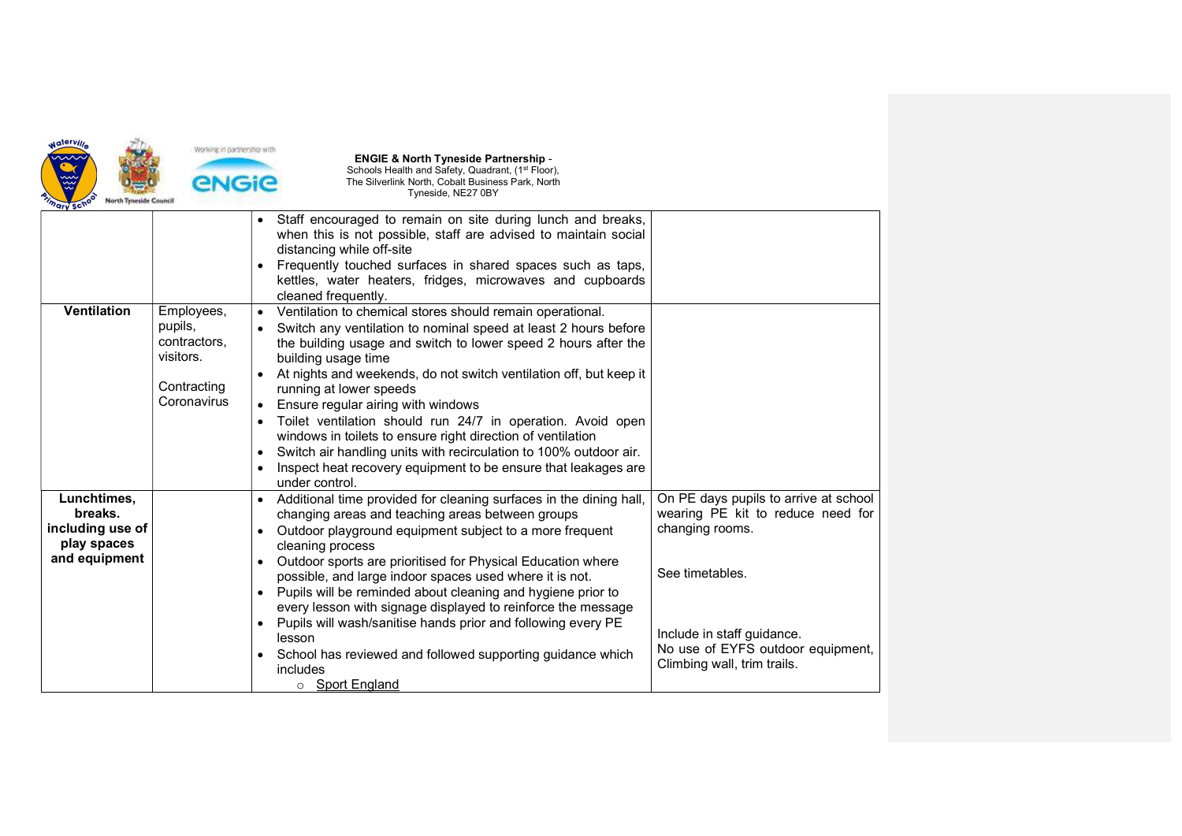

| 41 A 2 A                                                                   |                                                                                  |                                                                                                                                                                                                                                                                                                                                                                                                                                                                                                                                                                                                                                                                                             |                                                                                                                                                                                                                    |
|----------------------------------------------------------------------------|----------------------------------------------------------------------------------|---------------------------------------------------------------------------------------------------------------------------------------------------------------------------------------------------------------------------------------------------------------------------------------------------------------------------------------------------------------------------------------------------------------------------------------------------------------------------------------------------------------------------------------------------------------------------------------------------------------------------------------------------------------------------------------------|--------------------------------------------------------------------------------------------------------------------------------------------------------------------------------------------------------------------|
|                                                                            |                                                                                  | Staff encouraged to remain on site during lunch and breaks,<br>when this is not possible, staff are advised to maintain social<br>distancing while off-site<br>Frequently touched surfaces in shared spaces such as taps,<br>kettles, water heaters, fridges, microwaves and cupboards<br>cleaned frequently.                                                                                                                                                                                                                                                                                                                                                                               |                                                                                                                                                                                                                    |
| <b>Ventilation</b>                                                         | Employees,<br>pupils,<br>contractors,<br>visitors.<br>Contracting<br>Coronavirus | Ventilation to chemical stores should remain operational.<br>Switch any ventilation to nominal speed at least 2 hours before<br>the building usage and switch to lower speed 2 hours after the<br>building usage time<br>At nights and weekends, do not switch ventilation off, but keep it<br>running at lower speeds<br>Ensure regular airing with windows<br>Toilet ventilation should run 24/7 in operation. Avoid open<br>$\bullet$<br>windows in toilets to ensure right direction of ventilation<br>Switch air handling units with recirculation to 100% outdoor air.<br>$\bullet$<br>Inspect heat recovery equipment to be ensure that leakages are<br>under control.               |                                                                                                                                                                                                                    |
| Lunchtimes,<br>breaks.<br>including use of<br>play spaces<br>and equipment |                                                                                  | Additional time provided for cleaning surfaces in the dining hall,<br>$\bullet$<br>changing areas and teaching areas between groups<br>Outdoor playground equipment subject to a more frequent<br>$\bullet$<br>cleaning process<br>Outdoor sports are prioritised for Physical Education where<br>$\bullet$<br>possible, and large indoor spaces used where it is not.<br>Pupils will be reminded about cleaning and hygiene prior to<br>every lesson with signage displayed to reinforce the message<br>• Pupils will wash/sanitise hands prior and following every PE<br>lesson<br>School has reviewed and followed supporting guidance which<br>$\bullet$<br>includes<br>○ Sport England | On PE days pupils to arrive at school<br>wearing PE kit to reduce need for<br>changing rooms.<br>See timetables.<br>Include in staff guidance.<br>No use of EYFS outdoor equipment,<br>Climbing wall, trim trails. |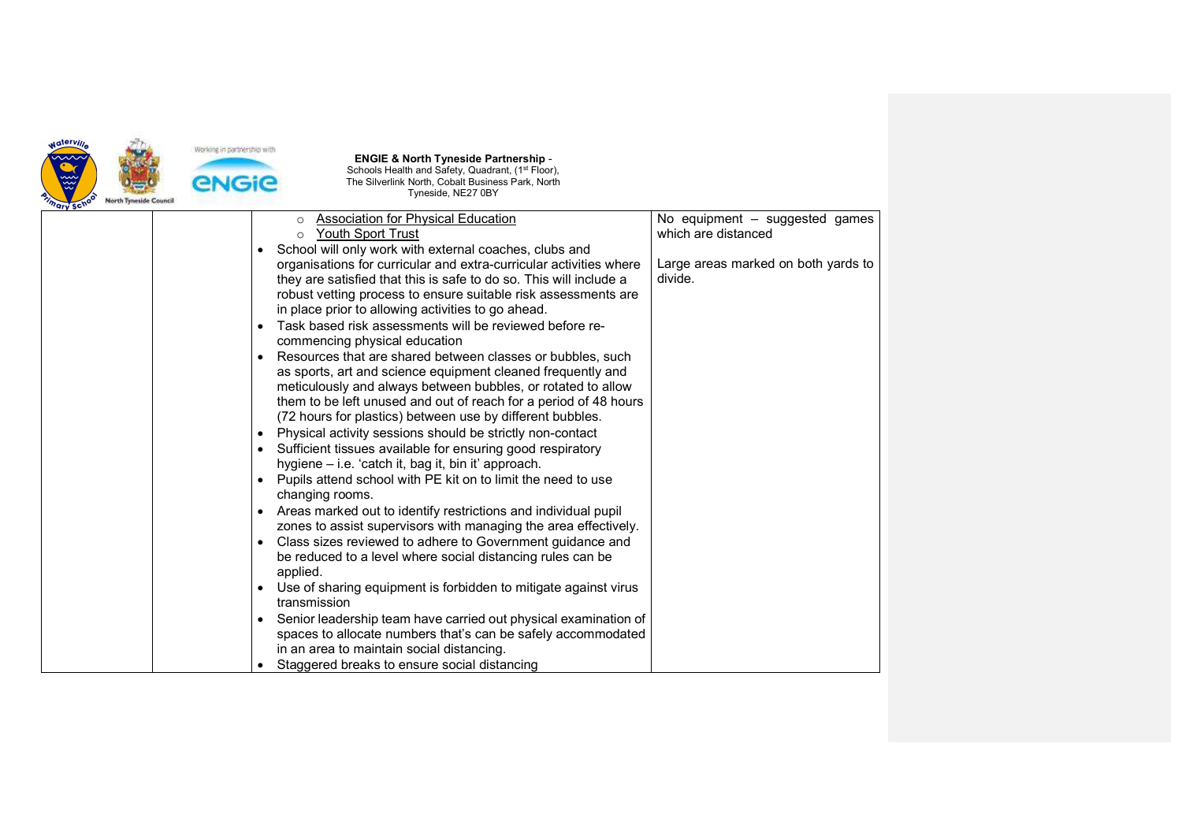

| <b>Association for Physical Education</b><br>$\circ$                    | No equipment - suggested games      |
|-------------------------------------------------------------------------|-------------------------------------|
| Youth Sport Trust                                                       | which are distanced                 |
| School will only work with external coaches, clubs and                  |                                     |
| organisations for curricular and extra-curricular activities where      | Large areas marked on both yards to |
| they are satisfied that this is safe to do so. This will include a      | divide.                             |
| robust vetting process to ensure suitable risk assessments are          |                                     |
| in place prior to allowing activities to go ahead.                      |                                     |
| Task based risk assessments will be reviewed before re-<br>$\bullet$    |                                     |
| commencing physical education                                           |                                     |
| Resources that are shared between classes or bubbles, such<br>$\bullet$ |                                     |
| as sports, art and science equipment cleaned frequently and             |                                     |
| meticulously and always between bubbles, or rotated to allow            |                                     |
| them to be left unused and out of reach for a period of 48 hours        |                                     |
| (72 hours for plastics) between use by different bubbles.               |                                     |
| Physical activity sessions should be strictly non-contact               |                                     |
| Sufficient tissues available for ensuring good respiratory              |                                     |
| hygiene - i.e. 'catch it, bag it, bin it' approach.                     |                                     |
| Pupils attend school with PE kit on to limit the need to use            |                                     |
| changing rooms.                                                         |                                     |
| • Areas marked out to identify restrictions and individual pupil        |                                     |
| zones to assist supervisors with managing the area effectively.         |                                     |
| Class sizes reviewed to adhere to Government guidance and               |                                     |
| be reduced to a level where social distancing rules can be              |                                     |
| applied.                                                                |                                     |
| Use of sharing equipment is forbidden to mitigate against virus         |                                     |
| transmission                                                            |                                     |
| Senior leadership team have carried out physical examination of         |                                     |
| spaces to allocate numbers that's can be safely accommodated            |                                     |
| in an area to maintain social distancing.                               |                                     |
| Staggered breaks to ensure social distancing                            |                                     |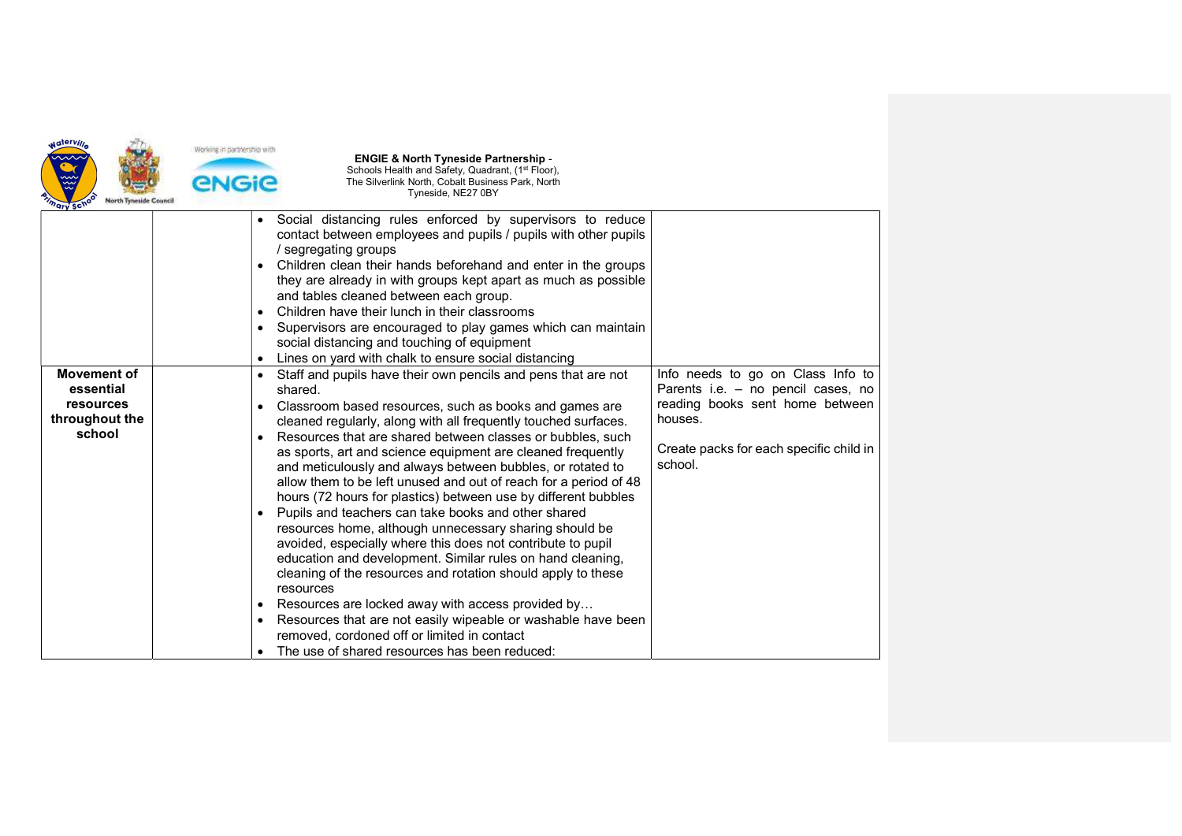

| ury sur                                                                  |                                                                                                                                                                                                                                                                                                                                                                                                                                                                                                                                                                                                                                                                                                                                                                                                                                                                                                                                                                                                                                                                          |                                                                                                                                                                             |
|--------------------------------------------------------------------------|--------------------------------------------------------------------------------------------------------------------------------------------------------------------------------------------------------------------------------------------------------------------------------------------------------------------------------------------------------------------------------------------------------------------------------------------------------------------------------------------------------------------------------------------------------------------------------------------------------------------------------------------------------------------------------------------------------------------------------------------------------------------------------------------------------------------------------------------------------------------------------------------------------------------------------------------------------------------------------------------------------------------------------------------------------------------------|-----------------------------------------------------------------------------------------------------------------------------------------------------------------------------|
|                                                                          | Social distancing rules enforced by supervisors to reduce<br>$\bullet$<br>contact between employees and pupils / pupils with other pupils<br>/ segregating groups<br>Children clean their hands beforehand and enter in the groups<br>٠<br>they are already in with groups kept apart as much as possible<br>and tables cleaned between each group.<br>Children have their lunch in their classrooms<br>$\bullet$<br>Supervisors are encouraged to play games which can maintain<br>٠<br>social distancing and touching of equipment<br>Lines on yard with chalk to ensure social distancing                                                                                                                                                                                                                                                                                                                                                                                                                                                                             |                                                                                                                                                                             |
| <b>Movement of</b><br>essential<br>resources<br>throughout the<br>school | Staff and pupils have their own pencils and pens that are not<br>$\bullet$<br>shared.<br>Classroom based resources, such as books and games are<br>٠<br>cleaned regularly, along with all frequently touched surfaces.<br>Resources that are shared between classes or bubbles, such<br>as sports, art and science equipment are cleaned frequently<br>and meticulously and always between bubbles, or rotated to<br>allow them to be left unused and out of reach for a period of 48<br>hours (72 hours for plastics) between use by different bubbles<br>Pupils and teachers can take books and other shared<br>resources home, although unnecessary sharing should be<br>avoided, especially where this does not contribute to pupil<br>education and development. Similar rules on hand cleaning,<br>cleaning of the resources and rotation should apply to these<br>resources<br>Resources are locked away with access provided by<br>٠<br>Resources that are not easily wipeable or washable have been<br>$\bullet$<br>removed, cordoned off or limited in contact | Info needs to go on Class Info to<br>Parents i.e. - no pencil cases, no<br>reading books sent home between<br>houses.<br>Create packs for each specific child in<br>school. |
|                                                                          | The use of shared resources has been reduced:                                                                                                                                                                                                                                                                                                                                                                                                                                                                                                                                                                                                                                                                                                                                                                                                                                                                                                                                                                                                                            |                                                                                                                                                                             |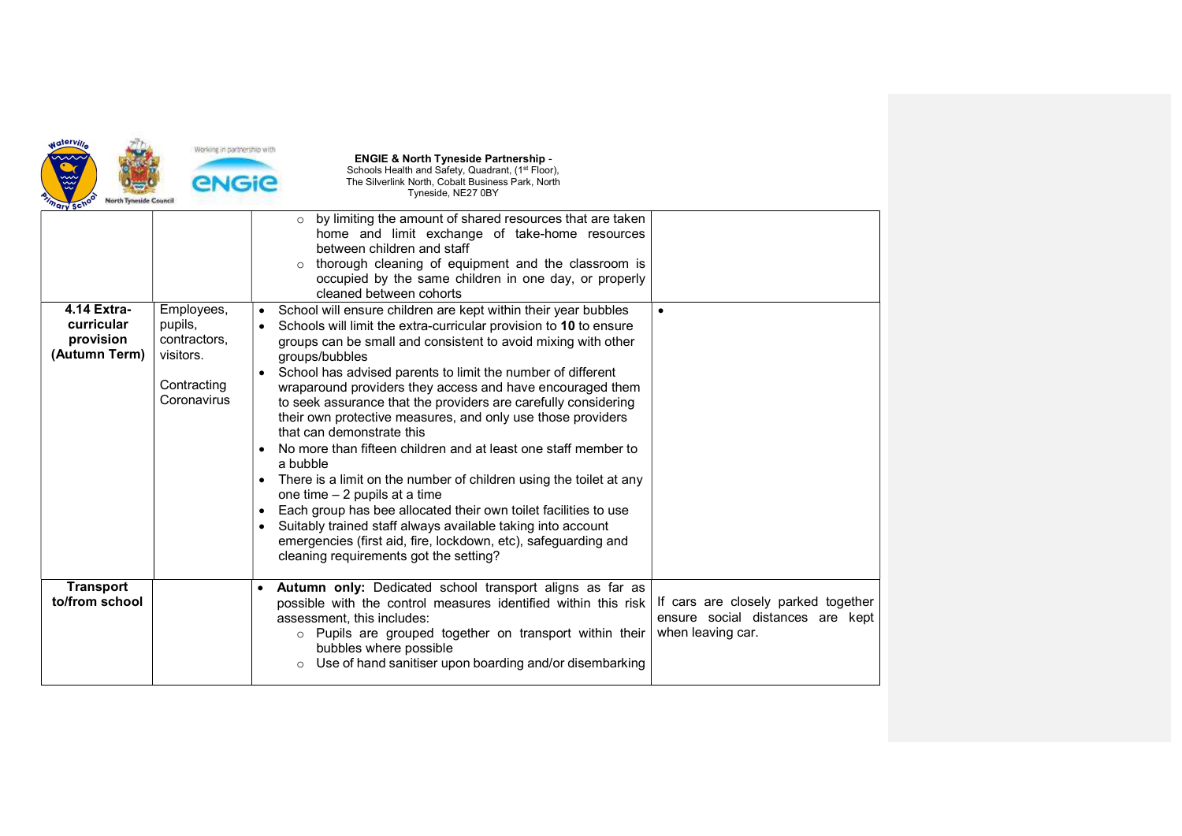

|                                                         |                                                                                  | by limiting the amount of shared resources that are taken<br>$\circ$<br>home and limit exchange of take-home resources<br>between children and staff<br>thorough cleaning of equipment and the classroom is<br>$\circ$<br>occupied by the same children in one day, or properly<br>cleaned between cohorts                                                                                                                                                                                                                                                                                                                                                                                                                                                                                                                                                                                                                                                                     |                                                                                              |
|---------------------------------------------------------|----------------------------------------------------------------------------------|--------------------------------------------------------------------------------------------------------------------------------------------------------------------------------------------------------------------------------------------------------------------------------------------------------------------------------------------------------------------------------------------------------------------------------------------------------------------------------------------------------------------------------------------------------------------------------------------------------------------------------------------------------------------------------------------------------------------------------------------------------------------------------------------------------------------------------------------------------------------------------------------------------------------------------------------------------------------------------|----------------------------------------------------------------------------------------------|
| 4.14 Extra-<br>curricular<br>provision<br>(Autumn Term) | Employees,<br>pupils,<br>contractors,<br>visitors.<br>Contracting<br>Coronavirus | School will ensure children are kept within their year bubbles<br>$\bullet$<br>Schools will limit the extra-curricular provision to 10 to ensure<br>groups can be small and consistent to avoid mixing with other<br>groups/bubbles<br>School has advised parents to limit the number of different<br>wraparound providers they access and have encouraged them<br>to seek assurance that the providers are carefully considering<br>their own protective measures, and only use those providers<br>that can demonstrate this<br>No more than fifteen children and at least one staff member to<br>a bubble<br>There is a limit on the number of children using the toilet at any<br>one time $-2$ pupils at a time<br>Each group has bee allocated their own toilet facilities to use<br>$\bullet$<br>Suitably trained staff always available taking into account<br>emergencies (first aid, fire, lockdown, etc), safeguarding and<br>cleaning requirements got the setting? | $\bullet$                                                                                    |
| <b>Transport</b><br>to/from school                      |                                                                                  | Autumn only: Dedicated school transport aligns as far as<br>$\bullet$<br>possible with the control measures identified within this risk<br>assessment, this includes:<br>Pupils are grouped together on transport within their<br>$\circ$<br>bubbles where possible<br>Use of hand sanitiser upon boarding and/or disembarking<br>$\circ$                                                                                                                                                                                                                                                                                                                                                                                                                                                                                                                                                                                                                                      | If cars are closely parked together<br>ensure social distances are kept<br>when leaving car. |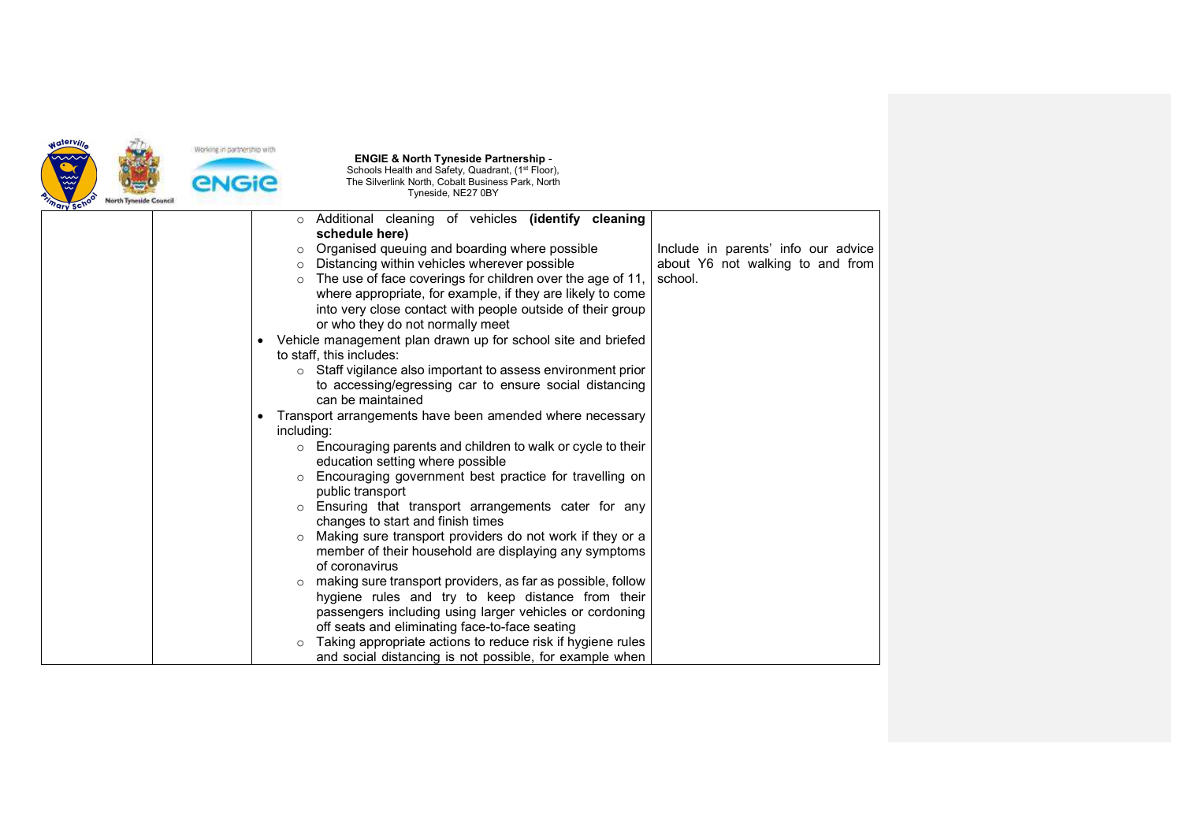

|  | $\circ$    | Additional cleaning of vehicles (identify cleaning           |                                     |
|--|------------|--------------------------------------------------------------|-------------------------------------|
|  |            | schedule here)                                               |                                     |
|  | $\circ$    | Organised queuing and boarding where possible                | Include in parents' info our advice |
|  | $\circ$    | Distancing within vehicles wherever possible                 | about Y6 not walking to and from    |
|  | $\circ$    | The use of face coverings for children over the age of 11,   | school.                             |
|  |            | where appropriate, for example, if they are likely to come   |                                     |
|  |            | into very close contact with people outside of their group   |                                     |
|  |            | or who they do not normally meet                             |                                     |
|  |            | Vehicle management plan drawn up for school site and briefed |                                     |
|  |            | to staff, this includes:                                     |                                     |
|  | $\circ$    | Staff vigilance also important to assess environment prior   |                                     |
|  |            | to accessing/egressing car to ensure social distancing       |                                     |
|  |            | can be maintained                                            |                                     |
|  |            | Transport arrangements have been amended where necessary     |                                     |
|  | including: |                                                              |                                     |
|  |            | Encouraging parents and children to walk or cycle to their   |                                     |
|  |            | education setting where possible                             |                                     |
|  |            | Encouraging government best practice for travelling on       |                                     |
|  |            | public transport                                             |                                     |
|  |            | Ensuring that transport arrangements cater for any           |                                     |
|  |            | changes to start and finish times                            |                                     |
|  |            | Making sure transport providers do not work if they or a     |                                     |
|  |            | member of their household are displaying any symptoms        |                                     |
|  |            | of coronavirus                                               |                                     |
|  | $\circ$    | making sure transport providers, as far as possible, follow  |                                     |
|  |            | hygiene rules and try to keep distance from their            |                                     |
|  |            | passengers including using larger vehicles or cordoning      |                                     |
|  |            | off seats and eliminating face-to-face seating               |                                     |
|  | $\Omega$   | Taking appropriate actions to reduce risk if hygiene rules   |                                     |
|  |            | and social distancing is not possible, for example when      |                                     |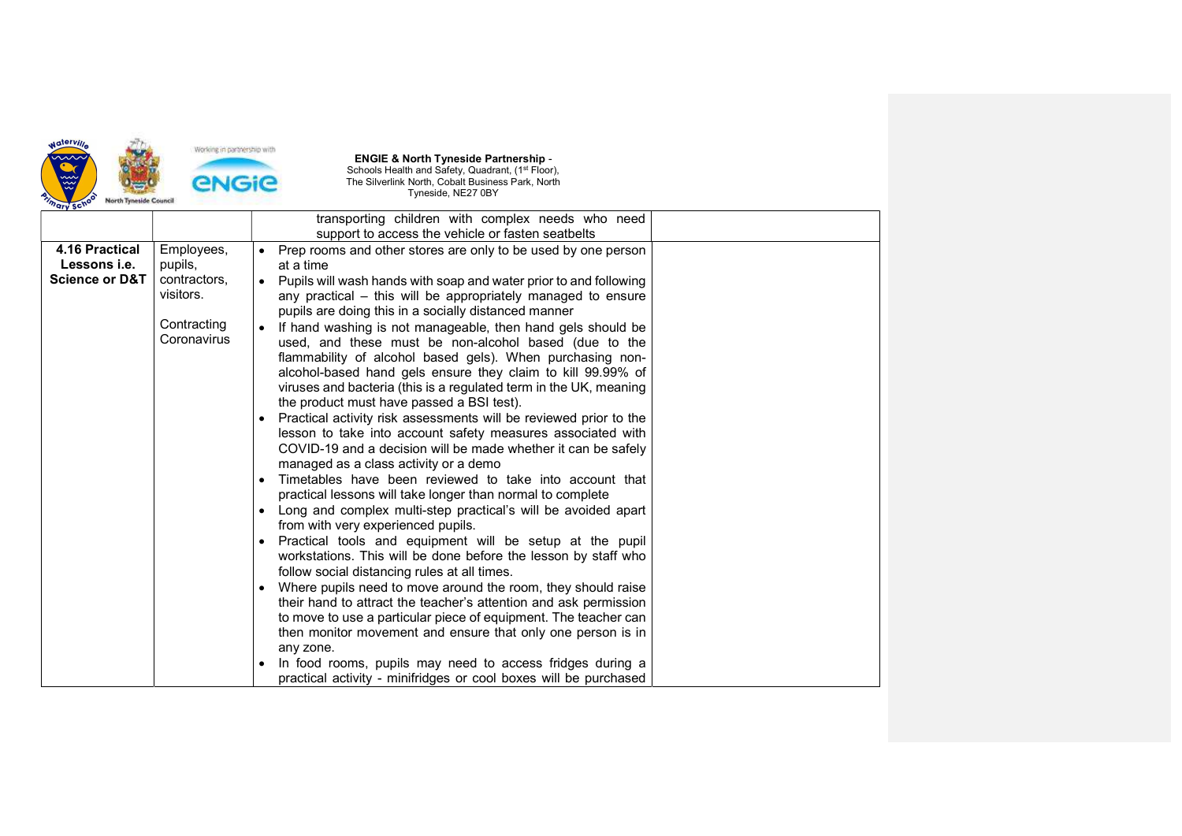

|                                                                    |                                                                                  | transporting children with complex needs who need                                                                                                                                                                                                                                                                                                                                                                                                                                                                                                                                                                                                                                                                                                                                                                                                                                                                                                                                                                                                                                                                                                                                                                                                                                                                                                                                                                                                                                                                                                                                                                                                                                                                             |
|--------------------------------------------------------------------|----------------------------------------------------------------------------------|-------------------------------------------------------------------------------------------------------------------------------------------------------------------------------------------------------------------------------------------------------------------------------------------------------------------------------------------------------------------------------------------------------------------------------------------------------------------------------------------------------------------------------------------------------------------------------------------------------------------------------------------------------------------------------------------------------------------------------------------------------------------------------------------------------------------------------------------------------------------------------------------------------------------------------------------------------------------------------------------------------------------------------------------------------------------------------------------------------------------------------------------------------------------------------------------------------------------------------------------------------------------------------------------------------------------------------------------------------------------------------------------------------------------------------------------------------------------------------------------------------------------------------------------------------------------------------------------------------------------------------------------------------------------------------------------------------------------------------|
|                                                                    |                                                                                  | support to access the vehicle or fasten seatbelts                                                                                                                                                                                                                                                                                                                                                                                                                                                                                                                                                                                                                                                                                                                                                                                                                                                                                                                                                                                                                                                                                                                                                                                                                                                                                                                                                                                                                                                                                                                                                                                                                                                                             |
| 4.16 Practical<br>Lessons <i>i.e.</i><br><b>Science or D&amp;T</b> | Employees,<br>pupils,<br>contractors,<br>visitors.<br>Contracting<br>Coronavirus | Prep rooms and other stores are only to be used by one person<br>at a time<br>Pupils will wash hands with soap and water prior to and following<br>any practical – this will be appropriately managed to ensure<br>pupils are doing this in a socially distanced manner<br>If hand washing is not manageable, then hand gels should be<br>used, and these must be non-alcohol based (due to the<br>flammability of alcohol based gels). When purchasing non-<br>alcohol-based hand gels ensure they claim to kill 99.99% of<br>viruses and bacteria (this is a regulated term in the UK, meaning<br>the product must have passed a BSI test).<br>Practical activity risk assessments will be reviewed prior to the<br>lesson to take into account safety measures associated with<br>COVID-19 and a decision will be made whether it can be safely<br>managed as a class activity or a demo<br>Timetables have been reviewed to take into account that<br>practical lessons will take longer than normal to complete<br>Long and complex multi-step practical's will be avoided apart<br>from with very experienced pupils.<br>Practical tools and equipment will be setup at the pupil<br>workstations. This will be done before the lesson by staff who<br>follow social distancing rules at all times.<br>Where pupils need to move around the room, they should raise<br>their hand to attract the teacher's attention and ask permission<br>to move to use a particular piece of equipment. The teacher can<br>then monitor movement and ensure that only one person is in<br>any zone.<br>In food rooms, pupils may need to access fridges during a<br>practical activity - minifridges or cool boxes will be purchased |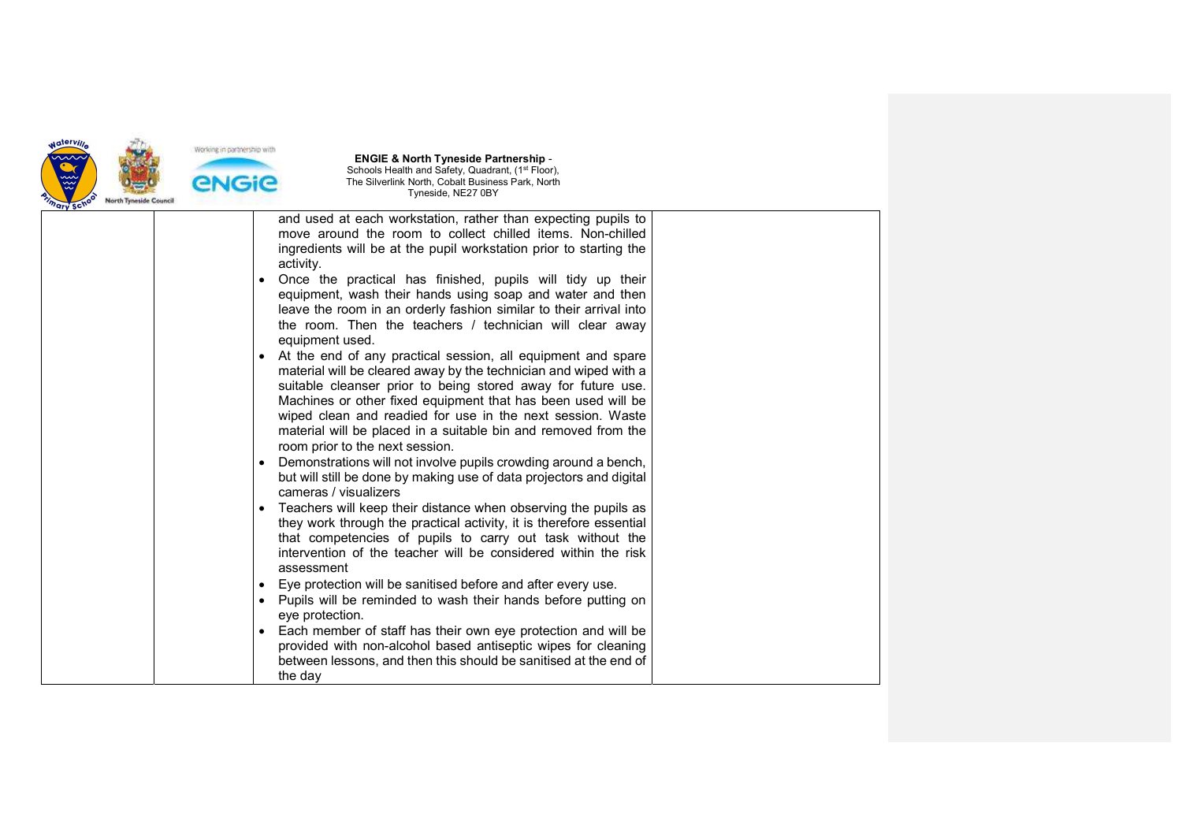

|  |           | and used at each workstation, rather than expecting pupils to<br>move around the room to collect chilled items. Non-chilled<br>ingredients will be at the pupil workstation prior to starting the<br>activity.                                                                                                                                                                                                                      |  |
|--|-----------|-------------------------------------------------------------------------------------------------------------------------------------------------------------------------------------------------------------------------------------------------------------------------------------------------------------------------------------------------------------------------------------------------------------------------------------|--|
|  |           | Once the practical has finished, pupils will tidy up their<br>equipment, wash their hands using soap and water and then<br>leave the room in an orderly fashion similar to their arrival into<br>the room. Then the teachers / technician will clear away<br>equipment used.                                                                                                                                                        |  |
|  |           | At the end of any practical session, all equipment and spare<br>material will be cleared away by the technician and wiped with a<br>suitable cleanser prior to being stored away for future use.<br>Machines or other fixed equipment that has been used will be<br>wiped clean and readied for use in the next session. Waste<br>material will be placed in a suitable bin and removed from the<br>room prior to the next session. |  |
|  |           | Demonstrations will not involve pupils crowding around a bench,<br>but will still be done by making use of data projectors and digital<br>cameras / visualizers                                                                                                                                                                                                                                                                     |  |
|  |           | Teachers will keep their distance when observing the pupils as<br>they work through the practical activity, it is therefore essential<br>that competencies of pupils to carry out task without the<br>intervention of the teacher will be considered within the risk<br>assessment                                                                                                                                                  |  |
|  | $\bullet$ | Eye protection will be sanitised before and after every use.                                                                                                                                                                                                                                                                                                                                                                        |  |
|  | $\bullet$ | Pupils will be reminded to wash their hands before putting on<br>eye protection.                                                                                                                                                                                                                                                                                                                                                    |  |
|  | $\bullet$ | Each member of staff has their own eye protection and will be                                                                                                                                                                                                                                                                                                                                                                       |  |
|  |           | provided with non-alcohol based antiseptic wipes for cleaning                                                                                                                                                                                                                                                                                                                                                                       |  |
|  |           | between lessons, and then this should be sanitised at the end of                                                                                                                                                                                                                                                                                                                                                                    |  |
|  |           | the day                                                                                                                                                                                                                                                                                                                                                                                                                             |  |